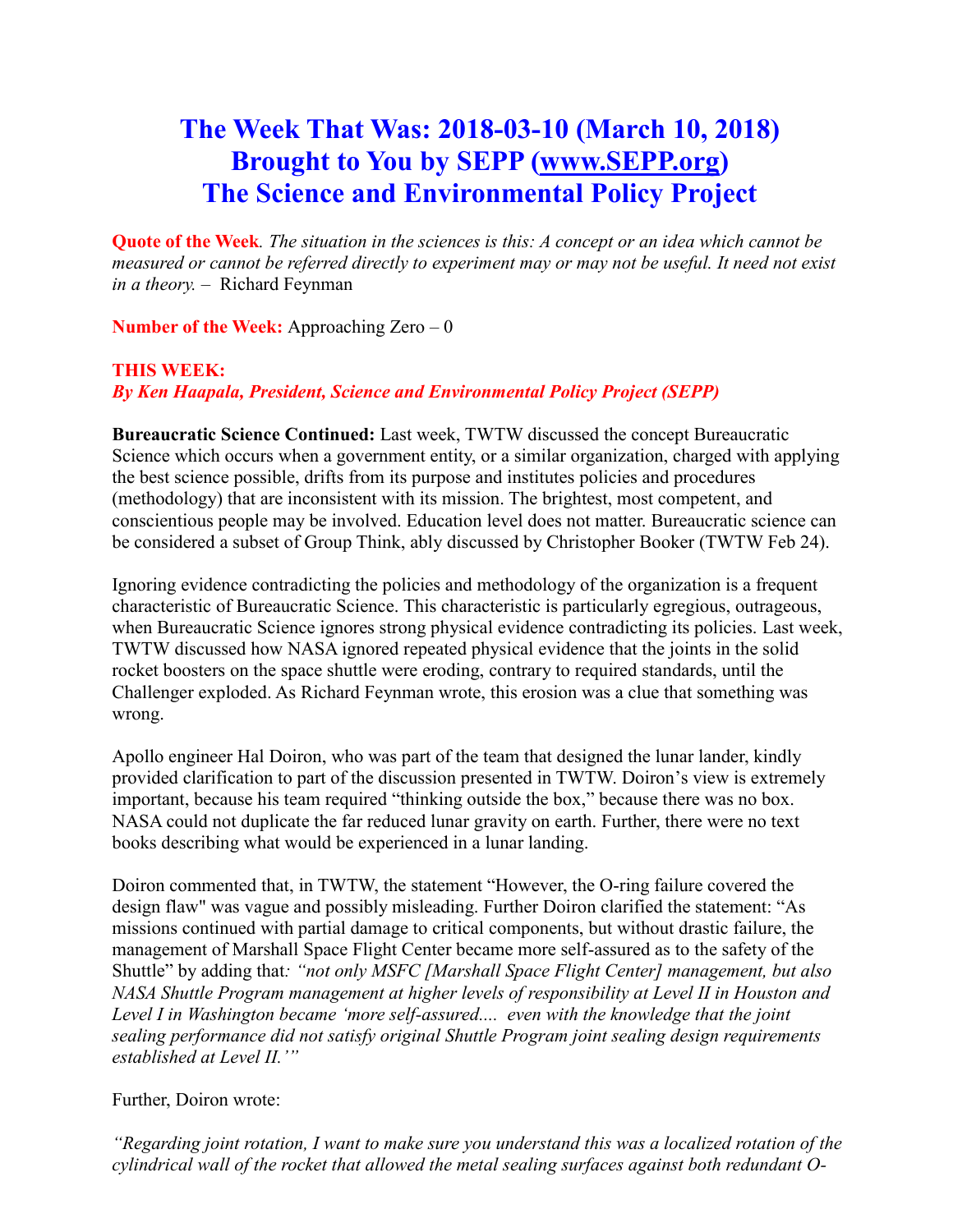# **The Week That Was: 2018-03-10 (March 10, 2018) Brought to You by SEPP [\(www.SEPP.org\)](http://www.sepp.org/) The Science and Environmental Policy Project**

**Quote of the Week***. The situation in the sciences is this: A concept or an idea which cannot be measured or cannot be referred directly to experiment may or may not be useful. It need not exist in a theory.* – Richard Feynman

**Number of the Week:** Approaching Zero – 0

## **THIS WEEK:** *By Ken Haapala, President, Science and Environmental Policy Project (SEPP)*

**Bureaucratic Science Continued:** Last week, TWTW discussed the concept Bureaucratic Science which occurs when a government entity, or a similar organization, charged with applying the best science possible, drifts from its purpose and institutes policies and procedures (methodology) that are inconsistent with its mission. The brightest, most competent, and conscientious people may be involved. Education level does not matter. Bureaucratic science can be considered a subset of Group Think, ably discussed by Christopher Booker (TWTW Feb 24).

Ignoring evidence contradicting the policies and methodology of the organization is a frequent characteristic of Bureaucratic Science. This characteristic is particularly egregious, outrageous, when Bureaucratic Science ignores strong physical evidence contradicting its policies. Last week, TWTW discussed how NASA ignored repeated physical evidence that the joints in the solid rocket boosters on the space shuttle were eroding, contrary to required standards, until the Challenger exploded. As Richard Feynman wrote, this erosion was a clue that something was wrong.

Apollo engineer Hal Doiron, who was part of the team that designed the lunar lander, kindly provided clarification to part of the discussion presented in TWTW. Doiron's view is extremely important, because his team required "thinking outside the box," because there was no box. NASA could not duplicate the far reduced lunar gravity on earth. Further, there were no text books describing what would be experienced in a lunar landing.

Doiron commented that, in TWTW, the statement "However, the O-ring failure covered the design flaw" was vague and possibly misleading. Further Doiron clarified the statement: "As missions continued with partial damage to critical components, but without drastic failure, the management of Marshall Space Flight Center became more self-assured as to the safety of the Shuttle" by adding that*: "not only MSFC [Marshall Space Flight Center] management, but also NASA Shuttle Program management at higher levels of responsibility at Level II in Houston and Level I in Washington became 'more self-assured.... even with the knowledge that the joint sealing performance did not satisfy original Shuttle Program joint sealing design requirements established at Level II.'"* 

### Further, Doiron wrote:

*"Regarding joint rotation, I want to make sure you understand this was a localized rotation of the cylindrical wall of the rocket that allowed the metal sealing surfaces against both redundant O-*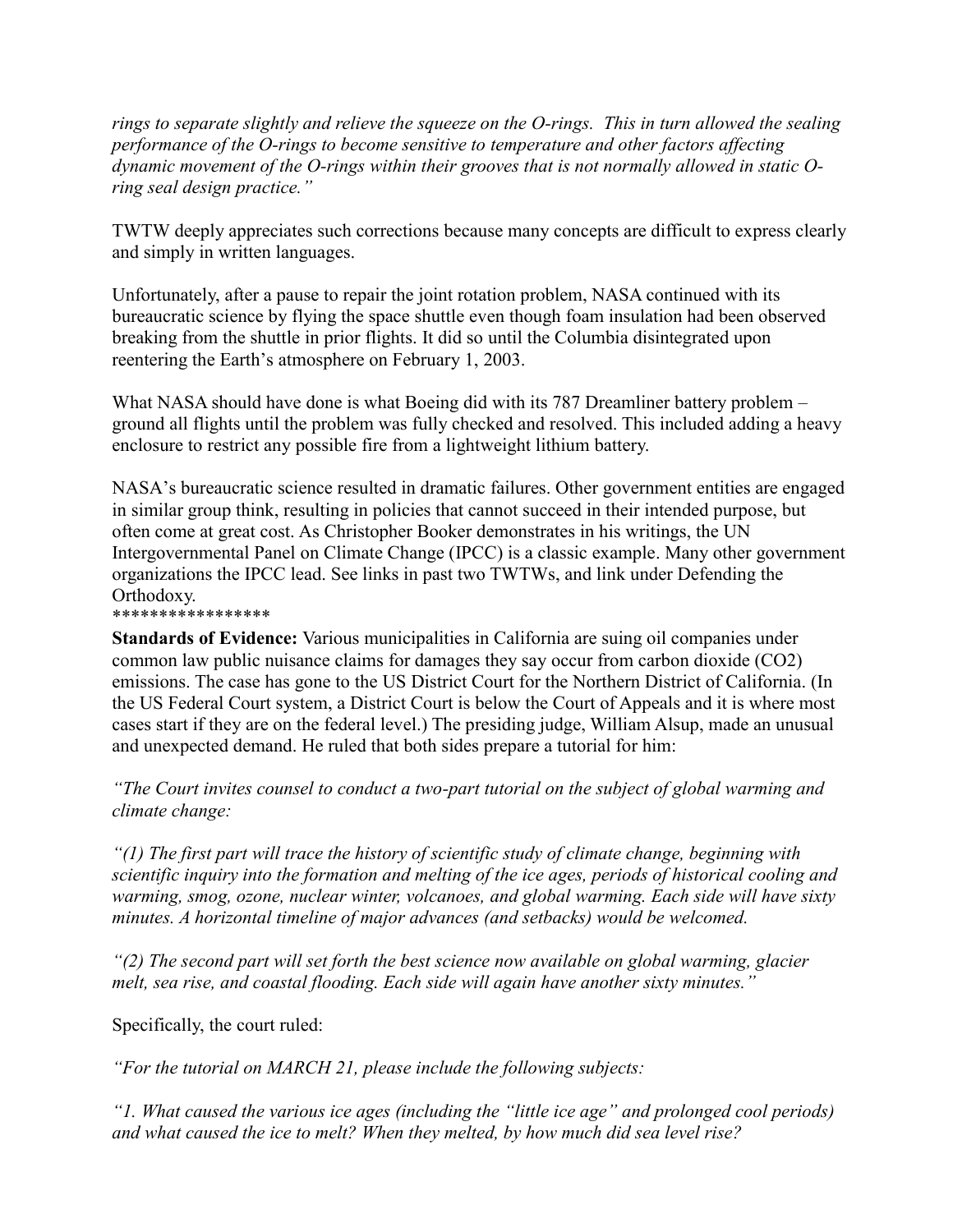*rings to separate slightly and relieve the squeeze on the O-rings. This in turn allowed the sealing performance of the O-rings to become sensitive to temperature and other factors affecting dynamic movement of the O-rings within their grooves that is not normally allowed in static Oring seal design practice."*

TWTW deeply appreciates such corrections because many concepts are difficult to express clearly and simply in written languages.

Unfortunately, after a pause to repair the joint rotation problem, NASA continued with its bureaucratic science by flying the space shuttle even though foam insulation had been observed breaking from the shuttle in prior flights. It did so until the Columbia disintegrated upon reentering the Earth's atmosphere on February 1, 2003.

What NASA should have done is what Boeing did with its 787 Dreamliner battery problem – ground all flights until the problem was fully checked and resolved. This included adding a heavy enclosure to restrict any possible fire from a lightweight lithium battery.

NASA's bureaucratic science resulted in dramatic failures. Other government entities are engaged in similar group think, resulting in policies that cannot succeed in their intended purpose, but often come at great cost. As Christopher Booker demonstrates in his writings, the UN Intergovernmental Panel on Climate Change (IPCC) is a classic example. Many other government organizations the IPCC lead. See links in past two TWTWs, and link under Defending the Orthodoxy.

\*\*\*\*\*\*\*\*\*\*\*\*\*\*\*\*\*

**Standards of Evidence:** Various municipalities in California are suing oil companies under common law public nuisance claims for damages they say occur from carbon dioxide (CO2) emissions. The case has gone to the US District Court for the Northern District of California. (In the US Federal Court system, a District Court is below the Court of Appeals and it is where most cases start if they are on the federal level.) The presiding judge, William Alsup, made an unusual and unexpected demand. He ruled that both sides prepare a tutorial for him:

*"The Court invites counsel to conduct a two-part tutorial on the subject of global warming and climate change:* 

*"(1) The first part will trace the history of scientific study of climate change, beginning with scientific inquiry into the formation and melting of the ice ages, periods of historical cooling and warming, smog, ozone, nuclear winter, volcanoes, and global warming. Each side will have sixty minutes. A horizontal timeline of major advances (and setbacks) would be welcomed.* 

*"(2) The second part will set forth the best science now available on global warming, glacier melt, sea rise, and coastal flooding. Each side will again have another sixty minutes."*

Specifically, the court ruled:

*"For the tutorial on MARCH 21, please include the following subjects:* 

*"1. What caused the various ice ages (including the "little ice age" and prolonged cool periods) and what caused the ice to melt? When they melted, by how much did sea level rise?*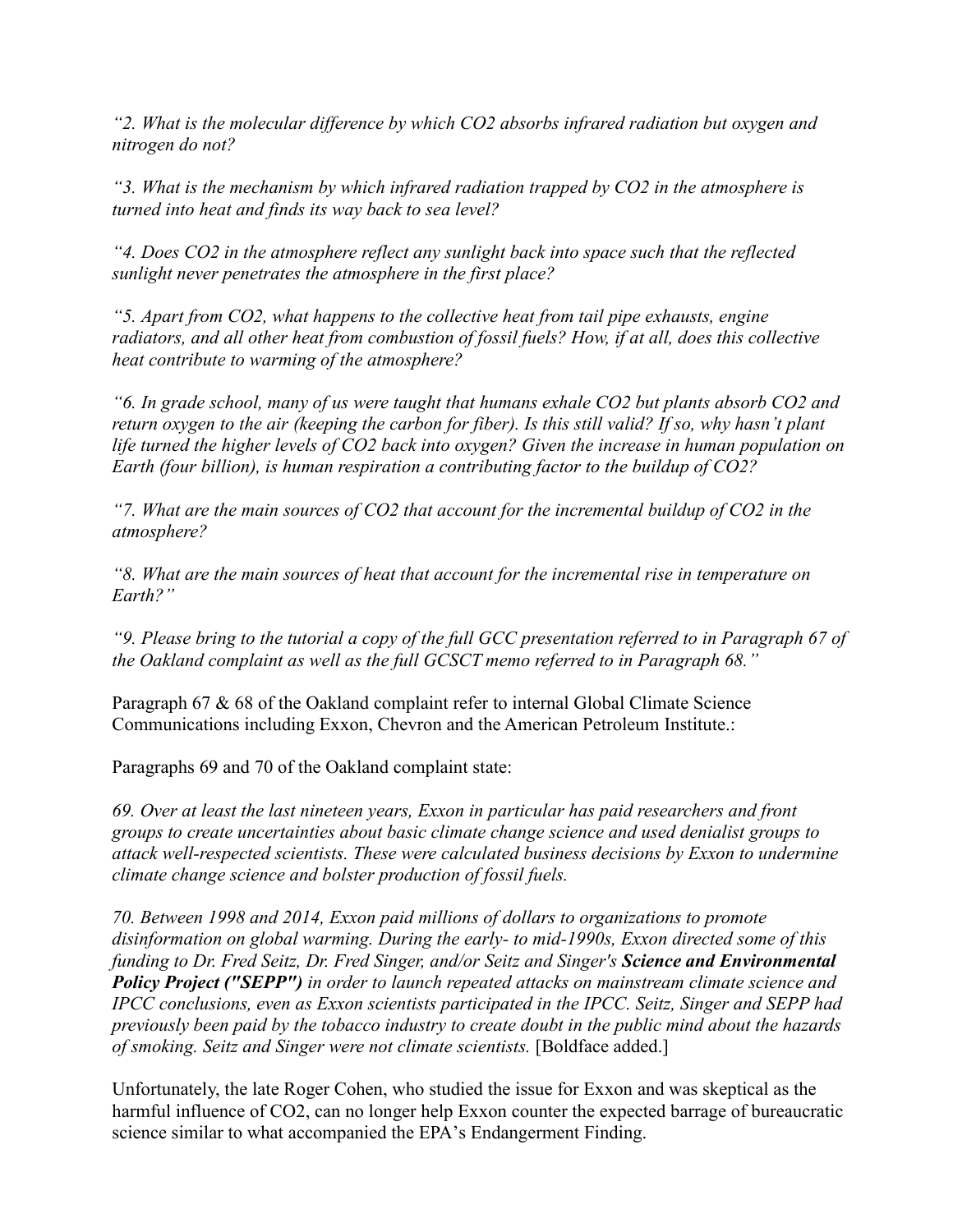*"2. What is the molecular difference by which CO2 absorbs infrared radiation but oxygen and nitrogen do not?* 

*"3. What is the mechanism by which infrared radiation trapped by CO2 in the atmosphere is turned into heat and finds its way back to sea level?* 

*"4. Does CO2 in the atmosphere reflect any sunlight back into space such that the reflected sunlight never penetrates the atmosphere in the first place?* 

*"5. Apart from CO2, what happens to the collective heat from tail pipe exhausts, engine radiators, and all other heat from combustion of fossil fuels? How, if at all, does this collective heat contribute to warming of the atmosphere?* 

*"6. In grade school, many of us were taught that humans exhale CO2 but plants absorb CO2 and return oxygen to the air (keeping the carbon for fiber). Is this still valid? If so, why hasn't plant life turned the higher levels of CO2 back into oxygen? Given the increase in human population on Earth (four billion), is human respiration a contributing factor to the buildup of CO2?* 

*"7. What are the main sources of CO2 that account for the incremental buildup of CO2 in the atmosphere?* 

*"8. What are the main sources of heat that account for the incremental rise in temperature on Earth?"*

*"9. Please bring to the tutorial a copy of the full GCC presentation referred to in Paragraph 67 of the Oakland complaint as well as the full GCSCT memo referred to in Paragraph 68."*

Paragraph 67 & 68 of the Oakland complaint refer to internal Global Climate Science Communications including Exxon, Chevron and the American Petroleum Institute.:

Paragraphs 69 and 70 of the Oakland complaint state:

*69. Over at least the last nineteen years, Exxon in particular has paid researchers and front groups to create uncertainties about basic climate change science and used denialist groups to attack well-respected scientists. These were calculated business decisions by Exxon to undermine climate change science and bolster production of fossil fuels.* 

*70. Between 1998 and 2014, Exxon paid millions of dollars to organizations to promote disinformation on global warming. During the early- to mid-1990s, Exxon directed some of this funding to Dr. Fred Seitz, Dr. Fred Singer, and/or Seitz and Singer's Science and Environmental Policy Project ("SEPP") in order to launch repeated attacks on mainstream climate science and IPCC conclusions, even as Exxon scientists participated in the IPCC. Seitz, Singer and SEPP had previously been paid by the tobacco industry to create doubt in the public mind about the hazards of smoking. Seitz and Singer were not climate scientists.* [Boldface added.]

Unfortunately, the late Roger Cohen, who studied the issue for Exxon and was skeptical as the harmful influence of CO2, can no longer help Exxon counter the expected barrage of bureaucratic science similar to what accompanied the EPA's Endangerment Finding.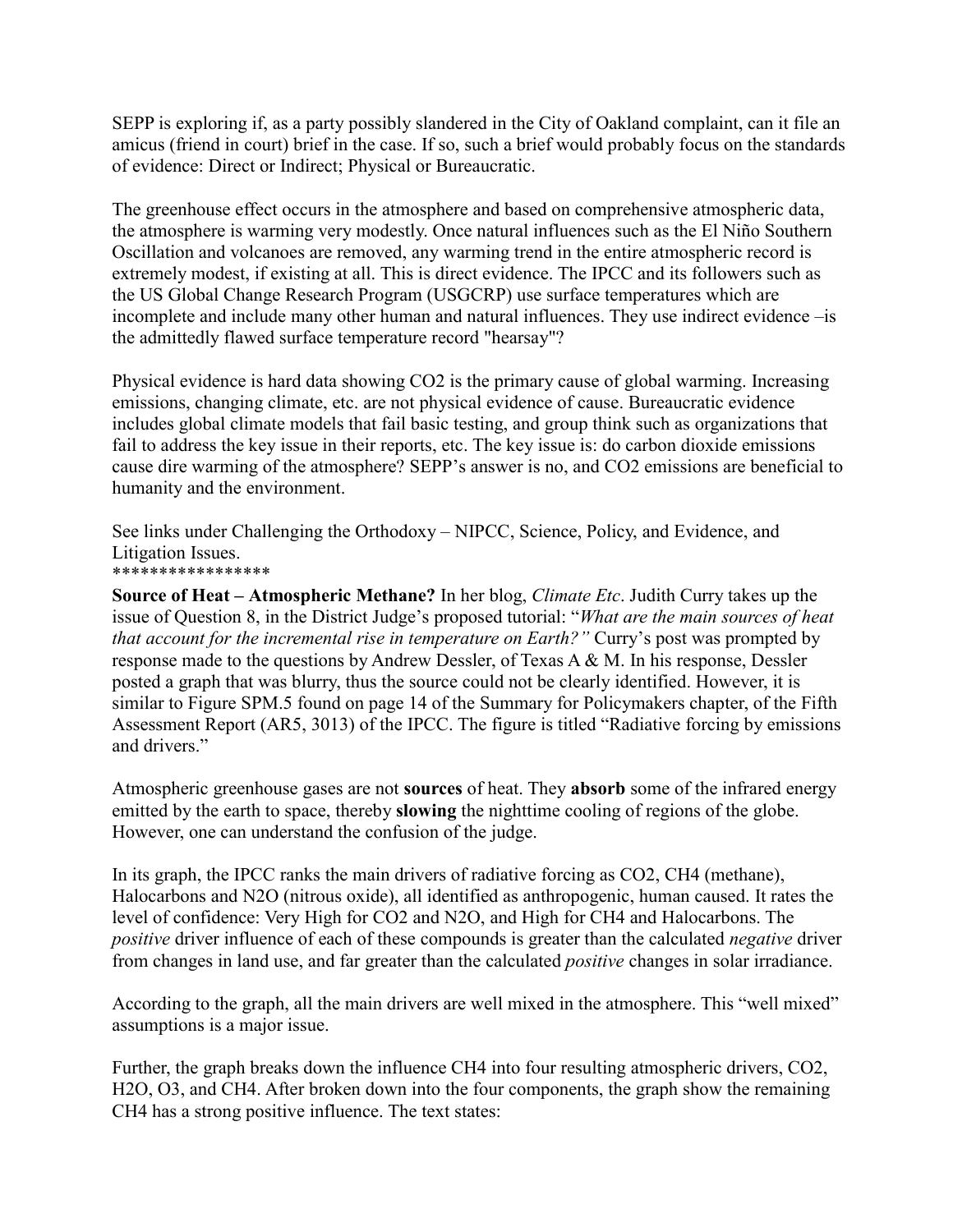SEPP is exploring if, as a party possibly slandered in the City of Oakland complaint, can it file an amicus (friend in court) brief in the case. If so, such a brief would probably focus on the standards of evidence: Direct or Indirect; Physical or Bureaucratic.

The greenhouse effect occurs in the atmosphere and based on comprehensive atmospheric data, the atmosphere is warming very modestly. Once natural influences such as the El Niño Southern Oscillation and volcanoes are removed, any warming trend in the entire atmospheric record is extremely modest, if existing at all. This is direct evidence. The IPCC and its followers such as the US Global Change Research Program (USGCRP) use surface temperatures which are incomplete and include many other human and natural influences. They use indirect evidence –is the admittedly flawed surface temperature record "hearsay"?

Physical evidence is hard data showing CO2 is the primary cause of global warming. Increasing emissions, changing climate, etc. are not physical evidence of cause. Bureaucratic evidence includes global climate models that fail basic testing, and group think such as organizations that fail to address the key issue in their reports, etc. The key issue is: do carbon dioxide emissions cause dire warming of the atmosphere? SEPP's answer is no, and CO2 emissions are beneficial to humanity and the environment.

See links under Challenging the Orthodoxy – NIPCC, Science, Policy, and Evidence, and Litigation Issues. \*\*\*\*\*\*\*\*\*\*\*\*\*\*\*\*\*

**Source of Heat – Atmospheric Methane?** In her blog, *Climate Etc*. Judith Curry takes up the issue of Question 8, in the District Judge's proposed tutorial: "*What are the main sources of heat that account for the incremental rise in temperature on Earth?"* Curry's post was prompted by response made to the questions by Andrew Dessler, of Texas A & M. In his response, Dessler posted a graph that was blurry, thus the source could not be clearly identified. However, it is similar to Figure SPM.5 found on page 14 of the Summary for Policymakers chapter, of the Fifth Assessment Report (AR5, 3013) of the IPCC. The figure is titled "Radiative forcing by emissions and drivers."

Atmospheric greenhouse gases are not **sources** of heat. They **absorb** some of the infrared energy emitted by the earth to space, thereby **slowing** the nighttime cooling of regions of the globe. However, one can understand the confusion of the judge.

In its graph, the IPCC ranks the main drivers of radiative forcing as CO2, CH4 (methane), Halocarbons and N2O (nitrous oxide), all identified as anthropogenic, human caused. It rates the level of confidence: Very High for CO2 and N2O, and High for CH4 and Halocarbons. The *positive* driver influence of each of these compounds is greater than the calculated *negative* driver from changes in land use, and far greater than the calculated *positive* changes in solar irradiance.

According to the graph, all the main drivers are well mixed in the atmosphere. This "well mixed" assumptions is a major issue.

Further, the graph breaks down the influence CH4 into four resulting atmospheric drivers, CO2, H2O, O3, and CH4. After broken down into the four components, the graph show the remaining CH4 has a strong positive influence. The text states: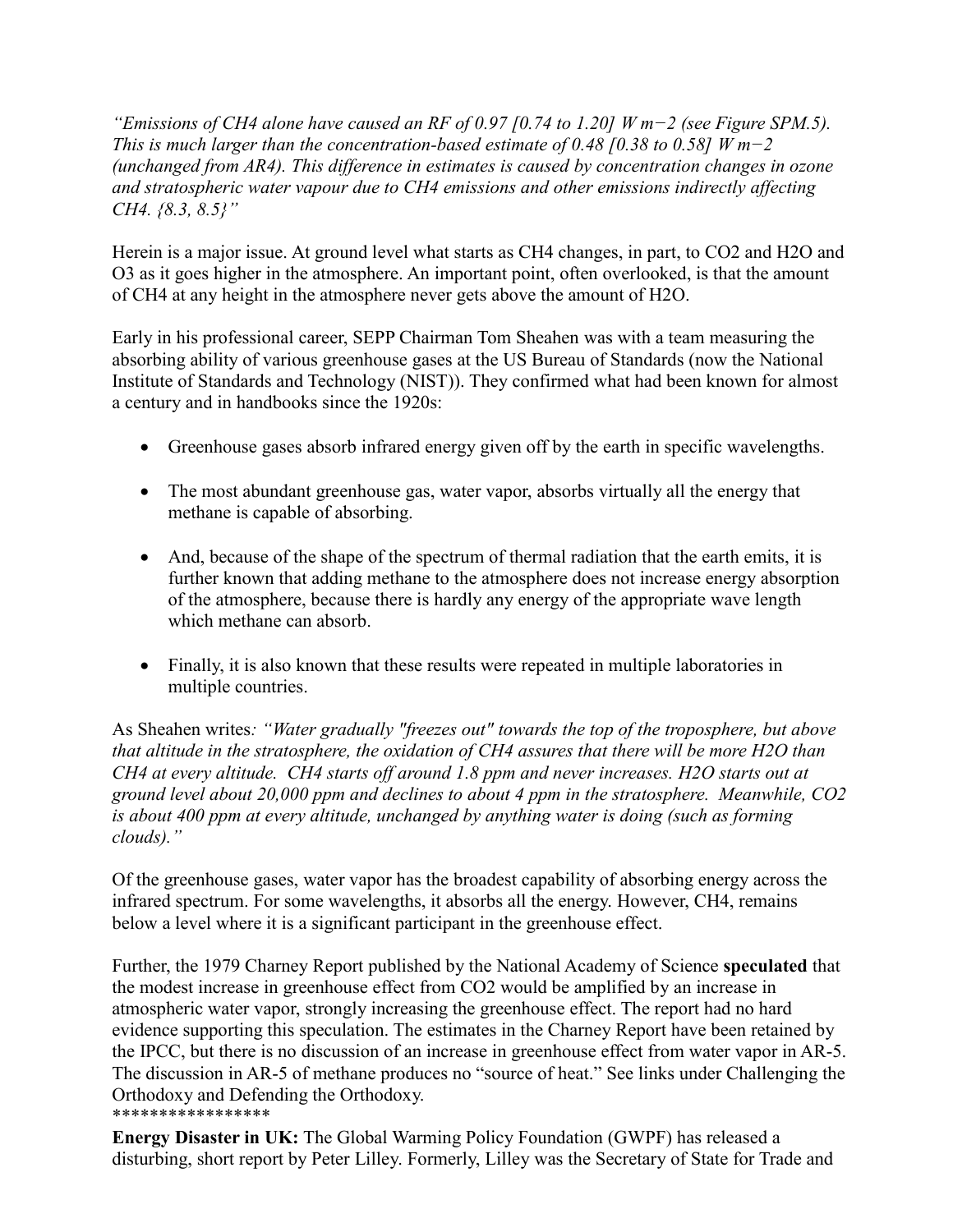*"Emissions of CH4 alone have caused an RF of 0.97 [0.74 to 1.20] W m−2 (see Figure SPM.5). This is much larger than the concentration-based estimate of 0.48 [0.38 to 0.58] W m−2 (unchanged from AR4). This difference in estimates is caused by concentration changes in ozone and stratospheric water vapour due to CH4 emissions and other emissions indirectly affecting CH4. {8.3, 8.5}"*

Herein is a major issue. At ground level what starts as CH4 changes, in part, to CO2 and H2O and O3 as it goes higher in the atmosphere. An important point, often overlooked, is that the amount of CH4 at any height in the atmosphere never gets above the amount of H2O.

Early in his professional career, SEPP Chairman Tom Sheahen was with a team measuring the absorbing ability of various greenhouse gases at the US Bureau of Standards (now the National Institute of Standards and Technology (NIST)). They confirmed what had been known for almost a century and in handbooks since the 1920s:

- Greenhouse gases absorb infrared energy given off by the earth in specific wavelengths.
- The most abundant greenhouse gas, water vapor, absorbs virtually all the energy that methane is capable of absorbing.
- And, because of the shape of the spectrum of thermal radiation that the earth emits, it is further known that adding methane to the atmosphere does not increase energy absorption of the atmosphere, because there is hardly any energy of the appropriate wave length which methane can absorb.
- Finally, it is also known that these results were repeated in multiple laboratories in multiple countries.

As Sheahen writes*: "Water gradually "freezes out" towards the top of the troposphere, but above that altitude in the stratosphere, the oxidation of CH4 assures that there will be more H2O than CH4 at every altitude. CH4 starts off around 1.8 ppm and never increases. H2O starts out at ground level about 20,000 ppm and declines to about 4 ppm in the stratosphere. Meanwhile, CO2 is about 400 ppm at every altitude, unchanged by anything water is doing (such as forming clouds)."*

Of the greenhouse gases, water vapor has the broadest capability of absorbing energy across the infrared spectrum. For some wavelengths, it absorbs all the energy. However, CH4, remains below a level where it is a significant participant in the greenhouse effect.

Further, the 1979 Charney Report published by the National Academy of Science **speculated** that the modest increase in greenhouse effect from CO2 would be amplified by an increase in atmospheric water vapor, strongly increasing the greenhouse effect. The report had no hard evidence supporting this speculation. The estimates in the Charney Report have been retained by the IPCC, but there is no discussion of an increase in greenhouse effect from water vapor in AR-5. The discussion in AR-5 of methane produces no "source of heat." See links under Challenging the Orthodoxy and Defending the Orthodoxy. \*\*\*\*\*\*\*\*\*\*\*\*\*\*\*\*\*

**Energy Disaster in UK:** The Global Warming Policy Foundation (GWPF) has released a disturbing, short report by Peter Lilley. Formerly, Lilley was the Secretary of State for Trade and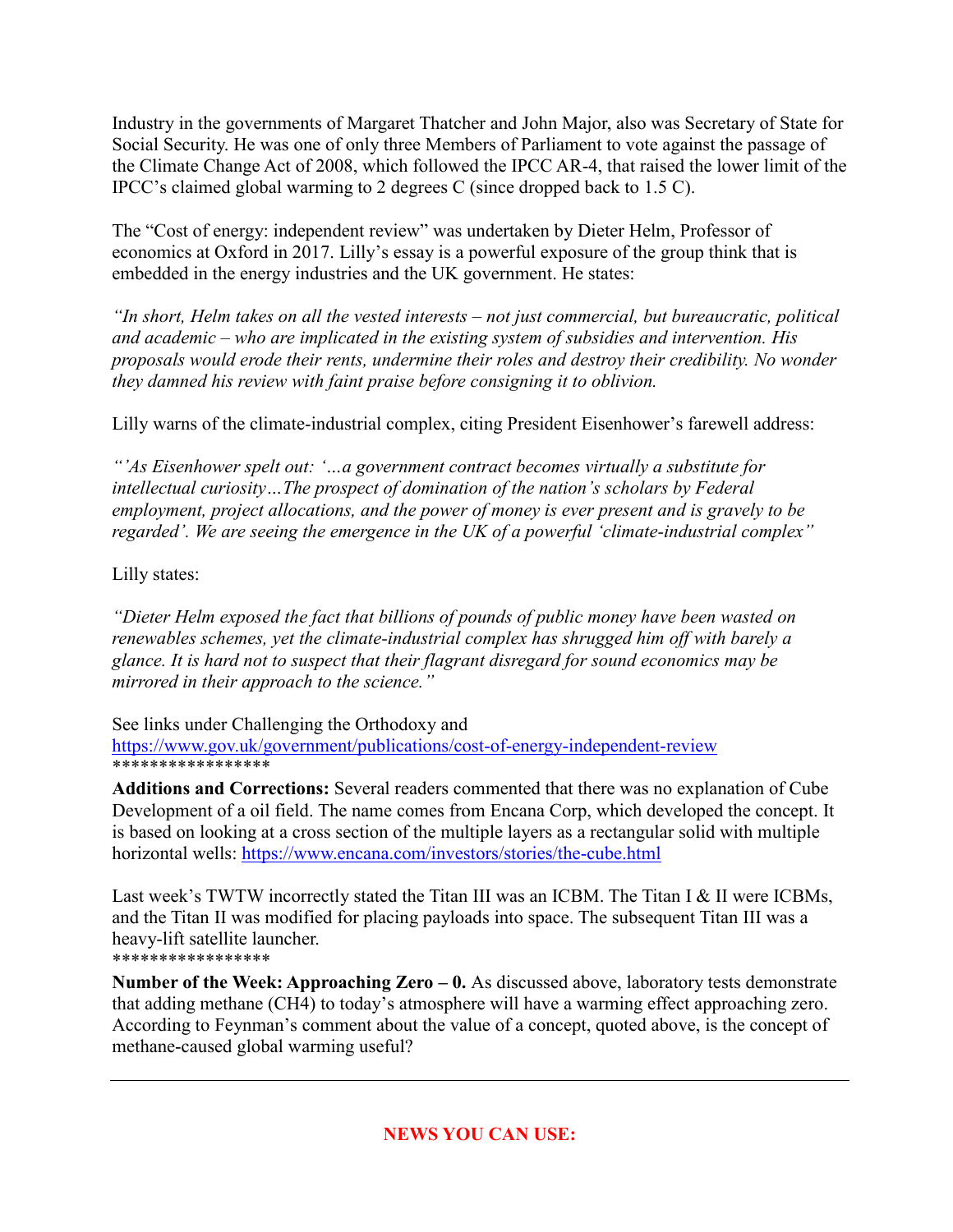Industry in the governments of Margaret Thatcher and John Major, also was Secretary of State for Social Security. He was one of only three Members of Parliament to vote against the passage of the Climate Change Act of 2008, which followed the IPCC AR-4, that raised the lower limit of the IPCC's claimed global warming to 2 degrees C (since dropped back to 1.5 C).

The "Cost of energy: independent review" was undertaken by Dieter Helm, Professor of economics at Oxford in 2017. Lilly's essay is a powerful exposure of the group think that is embedded in the energy industries and the UK government. He states:

*"In short, Helm takes on all the vested interests – not just commercial, but bureaucratic, political and academic – who are implicated in the existing system of subsidies and intervention. His proposals would erode their rents, undermine their roles and destroy their credibility. No wonder they damned his review with faint praise before consigning it to oblivion.*

Lilly warns of the climate-industrial complex, citing President Eisenhower's farewell address:

*"'As Eisenhower spelt out: '…a government contract becomes virtually a substitute for intellectual curiosity…The prospect of domination of the nation's scholars by Federal employment, project allocations, and the power of money is ever present and is gravely to be regarded'. We are seeing the emergence in the UK of a powerful 'climate-industrial complex"*

Lilly states:

*"Dieter Helm exposed the fact that billions of pounds of public money have been wasted on renewables schemes, yet the climate-industrial complex has shrugged him off with barely a glance. It is hard not to suspect that their flagrant disregard for sound economics may be mirrored in their approach to the science."*

See links under Challenging the Orthodoxy and

<https://www.gov.uk/government/publications/cost-of-energy-independent-review> \*\*\*\*\*\*\*\*\*\*\*\*\*\*\*\*\*

**Additions and Corrections:** Several readers commented that there was no explanation of Cube Development of a oil field. The name comes from Encana Corp, which developed the concept. It is based on looking at a cross section of the multiple layers as a rectangular solid with multiple horizontal wells:<https://www.encana.com/investors/stories/the-cube.html>

Last week's TWTW incorrectly stated the Titan III was an ICBM. The Titan I & II were ICBMs, and the Titan II was modified for placing payloads into space. The subsequent Titan III was a heavy-lift satellite launcher.

\*\*\*\*\*\*\*\*\*\*\*\*\*\*\*\*\*

**Number of the Week: Approaching Zero – 0.** As discussed above, laboratory tests demonstrate that adding methane (CH4) to today's atmosphere will have a warming effect approaching zero. According to Feynman's comment about the value of a concept, quoted above, is the concept of methane-caused global warming useful?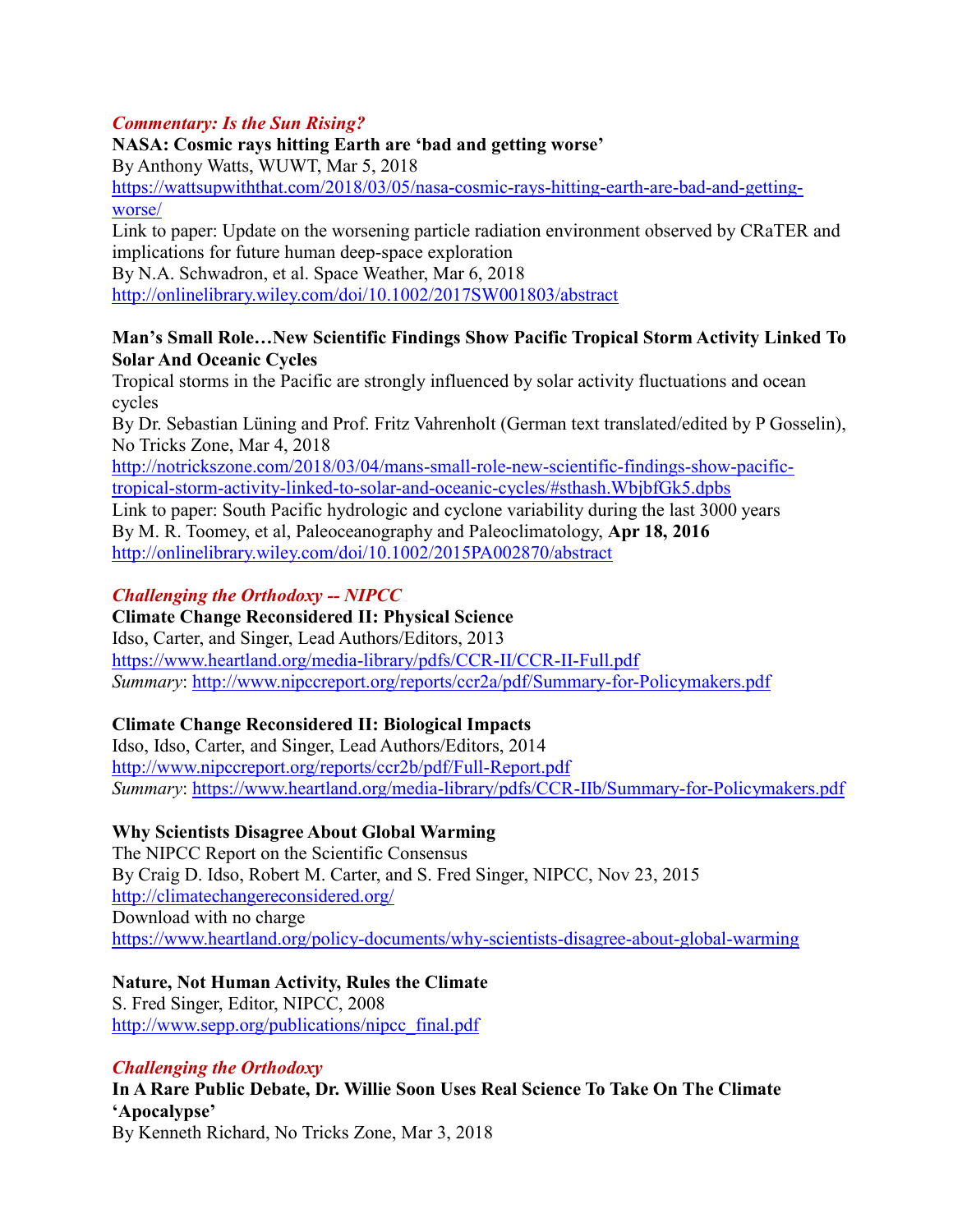## *Commentary: Is the Sun Rising?*

**NASA: Cosmic rays hitting Earth are 'bad and getting worse'**

By Anthony Watts, WUWT, Mar 5, 2018

[https://wattsupwiththat.com/2018/03/05/nasa-cosmic-rays-hitting-earth-are-bad-and-getting](https://wattsupwiththat.com/2018/03/05/nasa-cosmic-rays-hitting-earth-are-bad-and-getting-worse/)[worse/](https://wattsupwiththat.com/2018/03/05/nasa-cosmic-rays-hitting-earth-are-bad-and-getting-worse/)

Link to paper: Update on the worsening particle radiation environment observed by CRaTER and implications for future human deep-space exploration

By N.A. Schwadron, et al. Space Weather, Mar 6, 2018

<http://onlinelibrary.wiley.com/doi/10.1002/2017SW001803/abstract>

### **Man's Small Role…New Scientific Findings Show Pacific Tropical Storm Activity Linked To Solar And Oceanic Cycles**

Tropical storms in the Pacific are strongly influenced by solar activity fluctuations and ocean cycles

By Dr. Sebastian Lüning and Prof. Fritz Vahrenholt (German text translated/edited by P Gosselin), No Tricks Zone, Mar 4, 2018

[http://notrickszone.com/2018/03/04/mans-small-role-new-scientific-findings-show-pacific](http://notrickszone.com/2018/03/04/mans-small-role-new-scientific-findings-show-pacific-tropical-storm-activity-linked-to-solar-and-oceanic-cycles/#sthash.WbjbfGk5.dpbs)[tropical-storm-activity-linked-to-solar-and-oceanic-cycles/#sthash.WbjbfGk5.dpbs](http://notrickszone.com/2018/03/04/mans-small-role-new-scientific-findings-show-pacific-tropical-storm-activity-linked-to-solar-and-oceanic-cycles/#sthash.WbjbfGk5.dpbs)

Link to paper: South Pacific hydrologic and cyclone variability during the last 3000 years By M. R. Toomey, et al, Paleoceanography and Paleoclimatology, **Apr 18, 2016** <http://onlinelibrary.wiley.com/doi/10.1002/2015PA002870/abstract>

## *Challenging the Orthodoxy -- NIPCC*

### **Climate Change Reconsidered II: Physical Science**

Idso, Carter, and Singer, Lead Authors/Editors, 2013 <https://www.heartland.org/media-library/pdfs/CCR-II/CCR-II-Full.pdf> *Summary*:<http://www.nipccreport.org/reports/ccr2a/pdf/Summary-for-Policymakers.pdf>

## **Climate Change Reconsidered II: Biological Impacts**

Idso, Idso, Carter, and Singer, Lead Authors/Editors, 2014 <http://www.nipccreport.org/reports/ccr2b/pdf/Full-Report.pdf> *Summary*:<https://www.heartland.org/media-library/pdfs/CCR-IIb/Summary-for-Policymakers.pdf>

### **Why Scientists Disagree About Global Warming**

The NIPCC Report on the Scientific Consensus By Craig D. Idso, Robert M. Carter, and S. Fred Singer, NIPCC, Nov 23, 2015 <http://climatechangereconsidered.org/> Download with no charge <https://www.heartland.org/policy-documents/why-scientists-disagree-about-global-warming>

## **Nature, Not Human Activity, Rules the Climate**

S. Fred Singer, Editor, NIPCC, 2008 [http://www.sepp.org/publications/nipcc\\_final.pdf](http://www.sepp.org/publications/nipcc_final.pdf)

## *Challenging the Orthodoxy*

**In A Rare Public Debate, Dr. Willie Soon Uses Real Science To Take On The Climate 'Apocalypse'** By Kenneth Richard, No Tricks Zone, Mar 3, 2018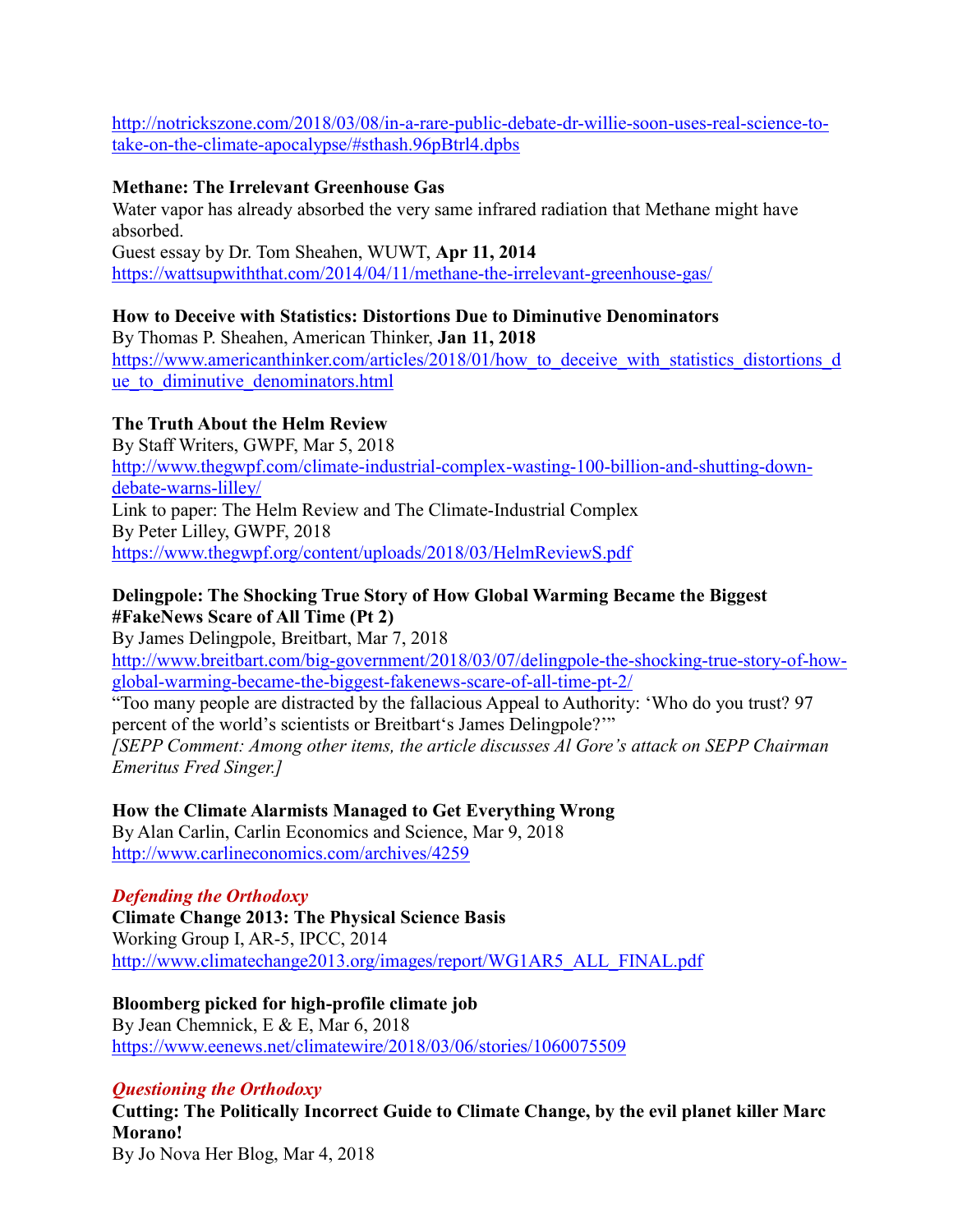[http://notrickszone.com/2018/03/08/in-a-rare-public-debate-dr-willie-soon-uses-real-science-to](http://notrickszone.com/2018/03/08/in-a-rare-public-debate-dr-willie-soon-uses-real-science-to-take-on-the-climate-apocalypse/#sthash.96pBtrl4.dpbs)[take-on-the-climate-apocalypse/#sthash.96pBtrl4.dpbs](http://notrickszone.com/2018/03/08/in-a-rare-public-debate-dr-willie-soon-uses-real-science-to-take-on-the-climate-apocalypse/#sthash.96pBtrl4.dpbs)

### **Methane: The Irrelevant Greenhouse Gas**

Water vapor has already absorbed the very same infrared radiation that Methane might have absorbed.

Guest essay by Dr. Tom Sheahen, WUWT, **Apr 11, 2014** <https://wattsupwiththat.com/2014/04/11/methane-the-irrelevant-greenhouse-gas/>

### **How to Deceive with Statistics: Distortions Due to Diminutive Denominators**

By Thomas P. Sheahen, American Thinker, **Jan 11, 2018** https://www.americanthinker.com/articles/2018/01/how to deceive with statistics distortions d [ue\\_to\\_diminutive\\_denominators.html](https://www.americanthinker.com/articles/2018/01/how_to_deceive_with_statistics_distortions_due_to_diminutive_denominators.html)

### **The Truth About the Helm Review**

By Staff Writers, GWPF, Mar 5, 2018 [http://www.thegwpf.com/climate-industrial-complex-wasting-100-billion-and-shutting-down](http://www.thegwpf.com/climate-industrial-complex-wasting-100-billion-and-shutting-down-debate-warns-lilley/)[debate-warns-lilley/](http://www.thegwpf.com/climate-industrial-complex-wasting-100-billion-and-shutting-down-debate-warns-lilley/) Link to paper: The Helm Review and The Climate-Industrial Complex By Peter Lilley, GWPF, 2018 <https://www.thegwpf.org/content/uploads/2018/03/HelmReviewS.pdf>

## **Delingpole: The Shocking True Story of How Global Warming Became the Biggest #FakeNews Scare of All Time (Pt 2)**

By James Delingpole, Breitbart, Mar 7, 2018 [http://www.breitbart.com/big-government/2018/03/07/delingpole-the-shocking-true-story-of-how](http://www.breitbart.com/big-government/2018/03/07/delingpole-the-shocking-true-story-of-how-global-warming-became-the-biggest-fakenews-scare-of-all-time-pt-2/)[global-warming-became-the-biggest-fakenews-scare-of-all-time-pt-2/](http://www.breitbart.com/big-government/2018/03/07/delingpole-the-shocking-true-story-of-how-global-warming-became-the-biggest-fakenews-scare-of-all-time-pt-2/)

"Too many people are distracted by the fallacious Appeal to Authority: 'Who do you trust? 97 percent of the world's scientists or Breitbart's James Delingpole?'"

*[SEPP Comment: Among other items, the article discusses Al Gore's attack on SEPP Chairman Emeritus Fred Singer.]*

**How the Climate Alarmists Managed to Get Everything Wrong** By Alan Carlin, Carlin Economics and Science, Mar 9, 2018

<http://www.carlineconomics.com/archives/4259>

### *Defending the Orthodoxy*

**Climate Change 2013: The Physical Science Basis** Working Group I, AR-5, IPCC, 2014 [http://www.climatechange2013.org/images/report/WG1AR5\\_ALL\\_FINAL.pdf](http://www.climatechange2013.org/images/report/WG1AR5_ALL_FINAL.pdf)

**Bloomberg picked for high-profile climate job** By Jean Chemnick, E & E, Mar 6, 2018 <https://www.eenews.net/climatewire/2018/03/06/stories/1060075509>

### *Questioning the Orthodoxy*

**Cutting: The Politically Incorrect Guide to Climate Change, by the evil planet killer Marc Morano!** By Jo Nova Her Blog, Mar 4, 2018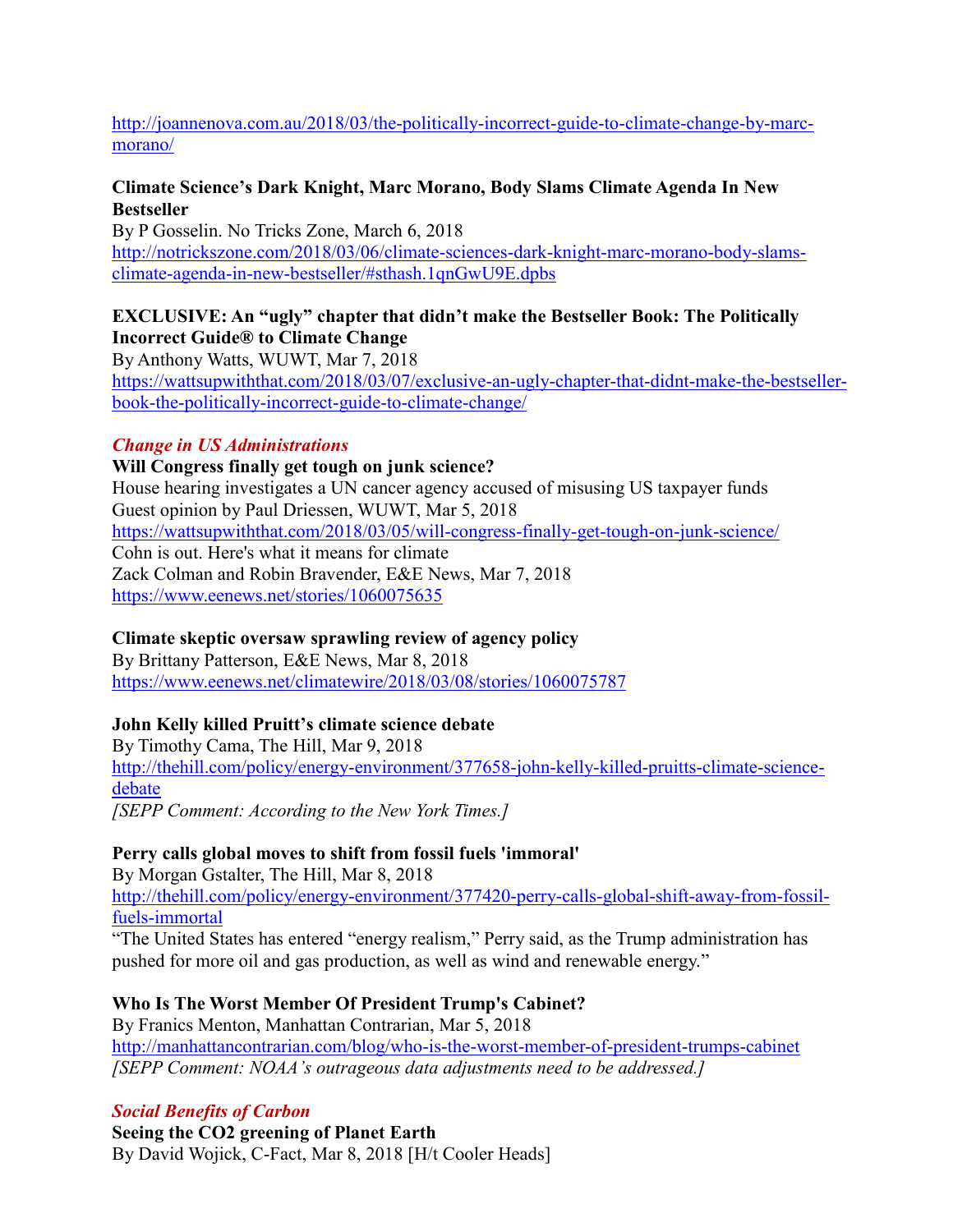[http://joannenova.com.au/2018/03/the-politically-incorrect-guide-to-climate-change-by-marc](http://joannenova.com.au/2018/03/the-politically-incorrect-guide-to-climate-change-by-marc-morano/)[morano/](http://joannenova.com.au/2018/03/the-politically-incorrect-guide-to-climate-change-by-marc-morano/)

### **Climate Science's Dark Knight, Marc Morano, Body Slams Climate Agenda In New Bestseller**

By P Gosselin. No Tricks Zone, March 6, 2018 [http://notrickszone.com/2018/03/06/climate-sciences-dark-knight-marc-morano-body-slams](http://notrickszone.com/2018/03/06/climate-sciences-dark-knight-marc-morano-body-slams-climate-agenda-in-new-bestseller/#sthash.1qnGwU9E.dpbs)[climate-agenda-in-new-bestseller/#sthash.1qnGwU9E.dpbs](http://notrickszone.com/2018/03/06/climate-sciences-dark-knight-marc-morano-body-slams-climate-agenda-in-new-bestseller/#sthash.1qnGwU9E.dpbs)

## **EXCLUSIVE: An "ugly" chapter that didn't make the Bestseller Book: The Politically Incorrect Guide® to Climate Change**

By Anthony Watts, WUWT, Mar 7, 2018 [https://wattsupwiththat.com/2018/03/07/exclusive-an-ugly-chapter-that-didnt-make-the-bestseller](https://wattsupwiththat.com/2018/03/07/exclusive-an-ugly-chapter-that-didnt-make-the-bestseller-book-the-politically-incorrect-guide-to-climate-change/)[book-the-politically-incorrect-guide-to-climate-change/](https://wattsupwiththat.com/2018/03/07/exclusive-an-ugly-chapter-that-didnt-make-the-bestseller-book-the-politically-incorrect-guide-to-climate-change/)

## *Change in US Administrations*

**Will Congress finally get tough on junk science?** House hearing investigates a UN cancer agency accused of misusing US taxpayer funds Guest opinion by Paul Driessen, WUWT, Mar 5, 2018 <https://wattsupwiththat.com/2018/03/05/will-congress-finally-get-tough-on-junk-science/> Cohn is out. Here's what it means for climate Zack Colman and Robin Bravender, E&E News, Mar 7, 2018 <https://www.eenews.net/stories/1060075635>

## **Climate skeptic oversaw sprawling review of agency policy**

By Brittany Patterson, E&E News, Mar 8, 2018 <https://www.eenews.net/climatewire/2018/03/08/stories/1060075787>

## **John Kelly killed Pruitt's climate science debate**

By Timothy Cama, The Hill, Mar 9, 2018 [http://thehill.com/policy/energy-environment/377658-john-kelly-killed-pruitts-climate-science](http://thehill.com/policy/energy-environment/377658-john-kelly-killed-pruitts-climate-science-debate)[debate](http://thehill.com/policy/energy-environment/377658-john-kelly-killed-pruitts-climate-science-debate) *[SEPP Comment: According to the New York Times.]*

## **Perry calls global moves to shift from fossil fuels 'immoral'**

By Morgan Gstalter, The Hill, Mar 8, 2018 [http://thehill.com/policy/energy-environment/377420-perry-calls-global-shift-away-from-fossil](http://thehill.com/policy/energy-environment/377420-perry-calls-global-shift-away-from-fossil-fuels-immortal)[fuels-immortal](http://thehill.com/policy/energy-environment/377420-perry-calls-global-shift-away-from-fossil-fuels-immortal)

"The United States has entered "energy realism," Perry said, as the Trump administration has pushed for more oil and gas production, as well as wind and renewable energy."

## **Who Is The Worst Member Of President Trump's Cabinet?**

By Franics Menton, Manhattan Contrarian, Mar 5, 2018 <http://manhattancontrarian.com/blog/who-is-the-worst-member-of-president-trumps-cabinet> *[SEPP Comment: NOAA's outrageous data adjustments need to be addressed.]*

## *Social Benefits of Carbon*

**Seeing the CO2 greening of Planet Earth** By David Wojick, C-Fact, Mar 8, 2018 [H/t Cooler Heads]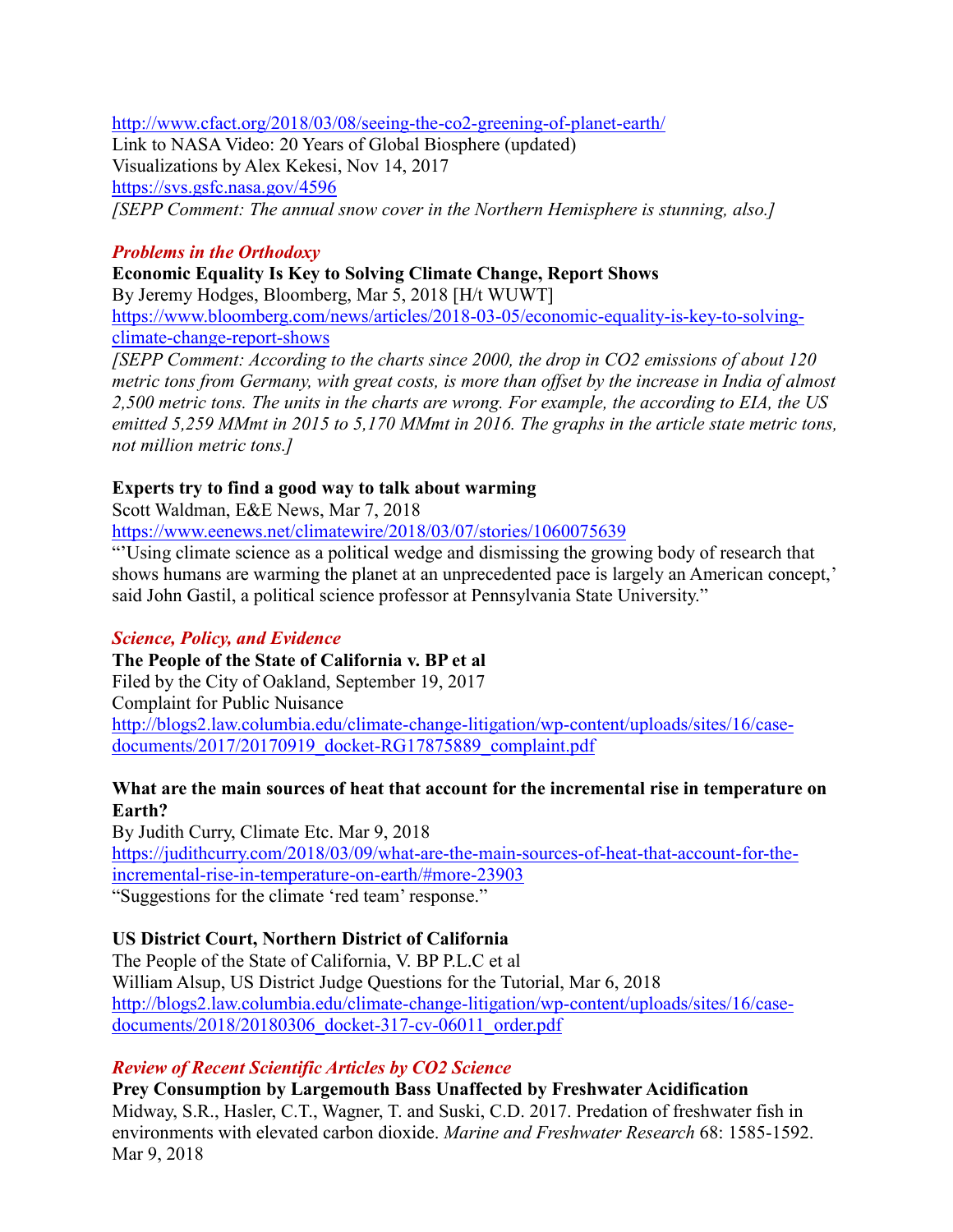<http://www.cfact.org/2018/03/08/seeing-the-co2-greening-of-planet-earth/>

Link to NASA Video: 20 Years of Global Biosphere (updated) Visualizations by Alex Kekesi, Nov 14, 2017 <https://svs.gsfc.nasa.gov/4596> *[SEPP Comment: The annual snow cover in the Northern Hemisphere is stunning, also.]*

## *Problems in the Orthodoxy*

**Economic Equality Is Key to Solving Climate Change, Report Shows** By Jeremy Hodges, Bloomberg, Mar 5, 2018 [H/t WUWT] [https://www.bloomberg.com/news/articles/2018-03-05/economic-equality-is-key-to-solving](https://www.bloomberg.com/news/articles/2018-03-05/economic-equality-is-key-to-solving-climate-change-report-shows)[climate-change-report-shows](https://www.bloomberg.com/news/articles/2018-03-05/economic-equality-is-key-to-solving-climate-change-report-shows)

*[SEPP Comment: According to the charts since 2000, the drop in CO2 emissions of about 120 metric tons from Germany, with great costs, is more than offset by the increase in India of almost 2,500 metric tons. The units in the charts are wrong. For example, the according to EIA, the US emitted 5,259 MMmt in 2015 to 5,170 MMmt in 2016. The graphs in the article state metric tons, not million metric tons.]*

## **Experts try to find a good way to talk about warming**

Scott Waldman, E&E News, Mar 7, 2018

<https://www.eenews.net/climatewire/2018/03/07/stories/1060075639>

"'Using climate science as a political wedge and dismissing the growing body of research that shows humans are warming the planet at an unprecedented pace is largely an American concept,' said John Gastil, a political science professor at Pennsylvania State University."

## *Science, Policy, and Evidence*

**The People of the State of California v. BP et al** Filed by the City of Oakland, September 19, 2017 Complaint for Public Nuisance [http://blogs2.law.columbia.edu/climate-change-litigation/wp-content/uploads/sites/16/case](http://blogs2.law.columbia.edu/climate-change-litigation/wp-content/uploads/sites/16/case-documents/2017/20170919_docket-RG17875889_complaint.pdf)[documents/2017/20170919\\_docket-RG17875889\\_complaint.pdf](http://blogs2.law.columbia.edu/climate-change-litigation/wp-content/uploads/sites/16/case-documents/2017/20170919_docket-RG17875889_complaint.pdf)

### **What are the main sources of heat that account for the incremental rise in temperature on Earth?**

By Judith Curry, Climate Etc. Mar 9, 2018 [https://judithcurry.com/2018/03/09/what-are-the-main-sources-of-heat-that-account-for-the](https://judithcurry.com/2018/03/09/what-are-the-main-sources-of-heat-that-account-for-the-incremental-rise-in-temperature-on-earth/#more-23903)[incremental-rise-in-temperature-on-earth/#more-23903](https://judithcurry.com/2018/03/09/what-are-the-main-sources-of-heat-that-account-for-the-incremental-rise-in-temperature-on-earth/#more-23903) "Suggestions for the climate 'red team' response."

## **US District Court, Northern District of California**

The People of the State of California, V. BP P.L.C et al William Alsup, US District Judge Questions for the Tutorial, Mar 6, 2018 [http://blogs2.law.columbia.edu/climate-change-litigation/wp-content/uploads/sites/16/case](http://blogs2.law.columbia.edu/climate-change-litigation/wp-content/uploads/sites/16/case-documents/2018/20180306_docket-317-cv-06011_order.pdf)[documents/2018/20180306\\_docket-317-cv-06011\\_order.pdf](http://blogs2.law.columbia.edu/climate-change-litigation/wp-content/uploads/sites/16/case-documents/2018/20180306_docket-317-cv-06011_order.pdf)

## *Review of Recent Scientific Articles by CO2 Science*

**Prey Consumption by Largemouth Bass Unaffected by Freshwater Acidification** Midway, S.R., Hasler, C.T., Wagner, T. and Suski, C.D. 2017. Predation of freshwater fish in environments with elevated carbon dioxide. *Marine and Freshwater Research* 68: 1585-1592. Mar 9, 2018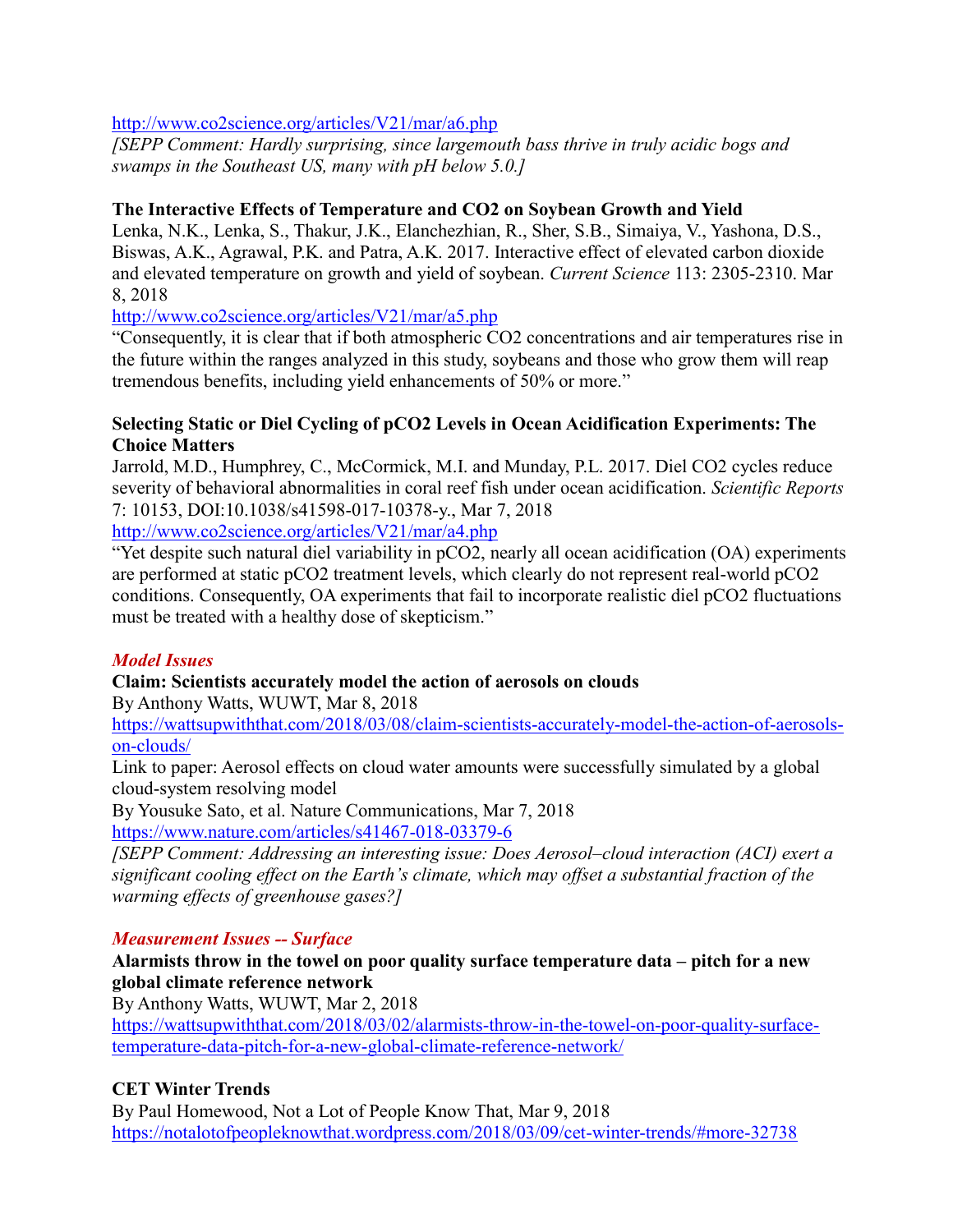<http://www.co2science.org/articles/V21/mar/a6.php>

*[SEPP Comment: Hardly surprising, since largemouth bass thrive in truly acidic bogs and swamps in the Southeast US, many with pH below 5.0.]*

### **The Interactive Effects of Temperature and CO2 on Soybean Growth and Yield**

Lenka, N.K., Lenka, S., Thakur, J.K., Elanchezhian, R., Sher, S.B., Simaiya, V., Yashona, D.S., Biswas, A.K., Agrawal, P.K. and Patra, A.K. 2017. Interactive effect of elevated carbon dioxide and elevated temperature on growth and yield of soybean. *Current Science* 113: 2305-2310. Mar 8, 2018

<http://www.co2science.org/articles/V21/mar/a5.php>

"Consequently, it is clear that if both atmospheric CO2 concentrations and air temperatures rise in the future within the ranges analyzed in this study, soybeans and those who grow them will reap tremendous benefits, including yield enhancements of 50% or more."

### **Selecting Static or Diel Cycling of pCO2 Levels in Ocean Acidification Experiments: The Choice Matters**

Jarrold, M.D., Humphrey, C., McCormick, M.I. and Munday, P.L. 2017. Diel CO2 cycles reduce severity of behavioral abnormalities in coral reef fish under ocean acidification. *Scientific Reports* 7: 10153, DOI:10.1038/s41598-017-10378-y., Mar 7, 2018

<http://www.co2science.org/articles/V21/mar/a4.php>

"Yet despite such natural diel variability in pCO2, nearly all ocean acidification (OA) experiments are performed at static pCO2 treatment levels, which clearly do not represent real-world pCO2 conditions. Consequently, OA experiments that fail to incorporate realistic diel pCO2 fluctuations must be treated with a healthy dose of skepticism."

### *Model Issues*

**Claim: Scientists accurately model the action of aerosols on clouds**

By Anthony Watts, WUWT, Mar 8, 2018

[https://wattsupwiththat.com/2018/03/08/claim-scientists-accurately-model-the-action-of-aerosols](https://wattsupwiththat.com/2018/03/08/claim-scientists-accurately-model-the-action-of-aerosols-on-clouds/)[on-clouds/](https://wattsupwiththat.com/2018/03/08/claim-scientists-accurately-model-the-action-of-aerosols-on-clouds/)

Link to paper: Aerosol effects on cloud water amounts were successfully simulated by a global cloud-system resolving model

By Yousuke Sato, et al. Nature Communications, Mar 7, 2018 <https://www.nature.com/articles/s41467-018-03379-6>

*[SEPP Comment: Addressing an interesting issue: Does Aerosol–cloud interaction (ACI) exert a significant cooling effect on the Earth's climate, which may offset a substantial fraction of the warming effects of greenhouse gases?]*

### *Measurement Issues -- Surface*

**Alarmists throw in the towel on poor quality surface temperature data – pitch for a new global climate reference network**

By Anthony Watts, WUWT, Mar 2, 2018

[https://wattsupwiththat.com/2018/03/02/alarmists-throw-in-the-towel-on-poor-quality-surface](https://wattsupwiththat.com/2018/03/02/alarmists-throw-in-the-towel-on-poor-quality-surface-temperature-data-pitch-for-a-new-global-climate-reference-network/)[temperature-data-pitch-for-a-new-global-climate-reference-network/](https://wattsupwiththat.com/2018/03/02/alarmists-throw-in-the-towel-on-poor-quality-surface-temperature-data-pitch-for-a-new-global-climate-reference-network/)

## **CET Winter Trends**

By Paul Homewood, Not a Lot of People Know That, Mar 9, 2018 <https://notalotofpeopleknowthat.wordpress.com/2018/03/09/cet-winter-trends/#more-32738>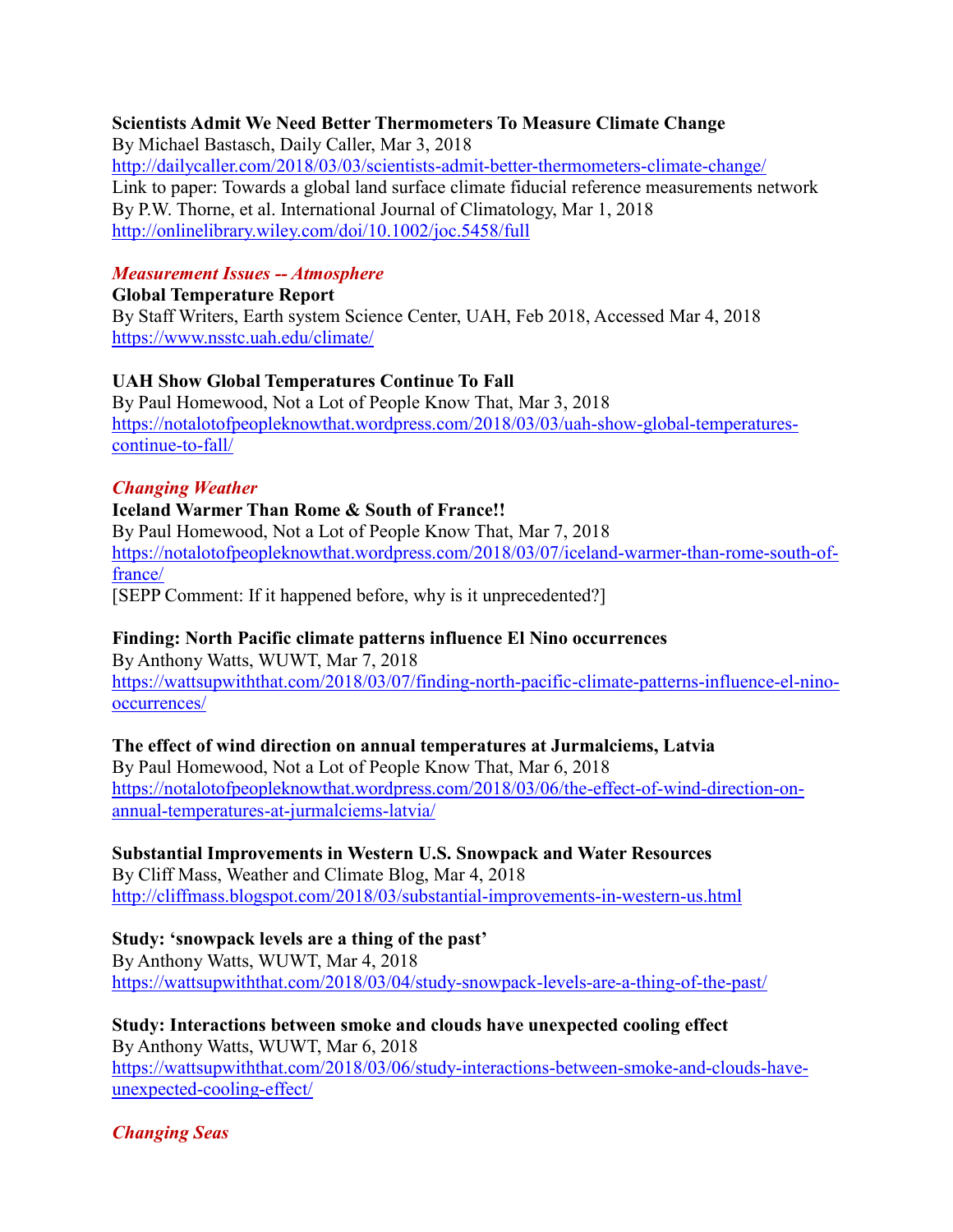### **Scientists Admit We Need Better Thermometers To Measure Climate Change**

By Michael Bastasch, Daily Caller, Mar 3, 2018

<http://dailycaller.com/2018/03/03/scientists-admit-better-thermometers-climate-change/> Link to paper: Towards a global land surface climate fiducial reference measurements network By P.W. Thorne, et al. International Journal of Climatology, Mar 1, 2018 <http://onlinelibrary.wiley.com/doi/10.1002/joc.5458/full>

### *Measurement Issues -- Atmosphere*

**Global Temperature Report**

By Staff Writers, Earth system Science Center, UAH, Feb 2018, Accessed Mar 4, 2018 <https://www.nsstc.uah.edu/climate/>

### **UAH Show Global Temperatures Continue To Fall**

By Paul Homewood, Not a Lot of People Know That, Mar 3, 2018 [https://notalotofpeopleknowthat.wordpress.com/2018/03/03/uah-show-global-temperatures](https://notalotofpeopleknowthat.wordpress.com/2018/03/03/uah-show-global-temperatures-continue-to-fall/)[continue-to-fall/](https://notalotofpeopleknowthat.wordpress.com/2018/03/03/uah-show-global-temperatures-continue-to-fall/)

### *Changing Weather*

### **Iceland Warmer Than Rome & South of France!!**

By Paul Homewood, Not a Lot of People Know That, Mar 7, 2018 [https://notalotofpeopleknowthat.wordpress.com/2018/03/07/iceland-warmer-than-rome-south-of](https://notalotofpeopleknowthat.wordpress.com/2018/03/07/iceland-warmer-than-rome-south-of-france/)[france/](https://notalotofpeopleknowthat.wordpress.com/2018/03/07/iceland-warmer-than-rome-south-of-france/)

[SEPP Comment: If it happened before, why is it unprecedented?]

### **Finding: North Pacific climate patterns influence El Nino occurrences**

By Anthony Watts, WUWT, Mar 7, 2018 [https://wattsupwiththat.com/2018/03/07/finding-north-pacific-climate-patterns-influence-el-nino](https://wattsupwiththat.com/2018/03/07/finding-north-pacific-climate-patterns-influence-el-nino-occurrences/)[occurrences/](https://wattsupwiththat.com/2018/03/07/finding-north-pacific-climate-patterns-influence-el-nino-occurrences/)

### **The effect of wind direction on annual temperatures at Jurmalciems, Latvia**

By Paul Homewood, Not a Lot of People Know That, Mar 6, 2018 [https://notalotofpeopleknowthat.wordpress.com/2018/03/06/the-effect-of-wind-direction-on](https://notalotofpeopleknowthat.wordpress.com/2018/03/06/the-effect-of-wind-direction-on-annual-temperatures-at-jurmalciems-latvia/)[annual-temperatures-at-jurmalciems-latvia/](https://notalotofpeopleknowthat.wordpress.com/2018/03/06/the-effect-of-wind-direction-on-annual-temperatures-at-jurmalciems-latvia/)

### **Substantial Improvements in Western U.S. Snowpack and Water Resources**

By Cliff Mass, Weather and Climate Blog, Mar 4, 2018 <http://cliffmass.blogspot.com/2018/03/substantial-improvements-in-western-us.html>

### **Study: 'snowpack levels are a thing of the past'**

By Anthony Watts, WUWT, Mar 4, 2018 <https://wattsupwiththat.com/2018/03/04/study-snowpack-levels-are-a-thing-of-the-past/>

#### **Study: Interactions between smoke and clouds have unexpected cooling effect** By Anthony Watts, WUWT, Mar 6, 2018

[https://wattsupwiththat.com/2018/03/06/study-interactions-between-smoke-and-clouds-have](https://wattsupwiththat.com/2018/03/06/study-interactions-between-smoke-and-clouds-have-unexpected-cooling-effect/)[unexpected-cooling-effect/](https://wattsupwiththat.com/2018/03/06/study-interactions-between-smoke-and-clouds-have-unexpected-cooling-effect/)

### *Changing Seas*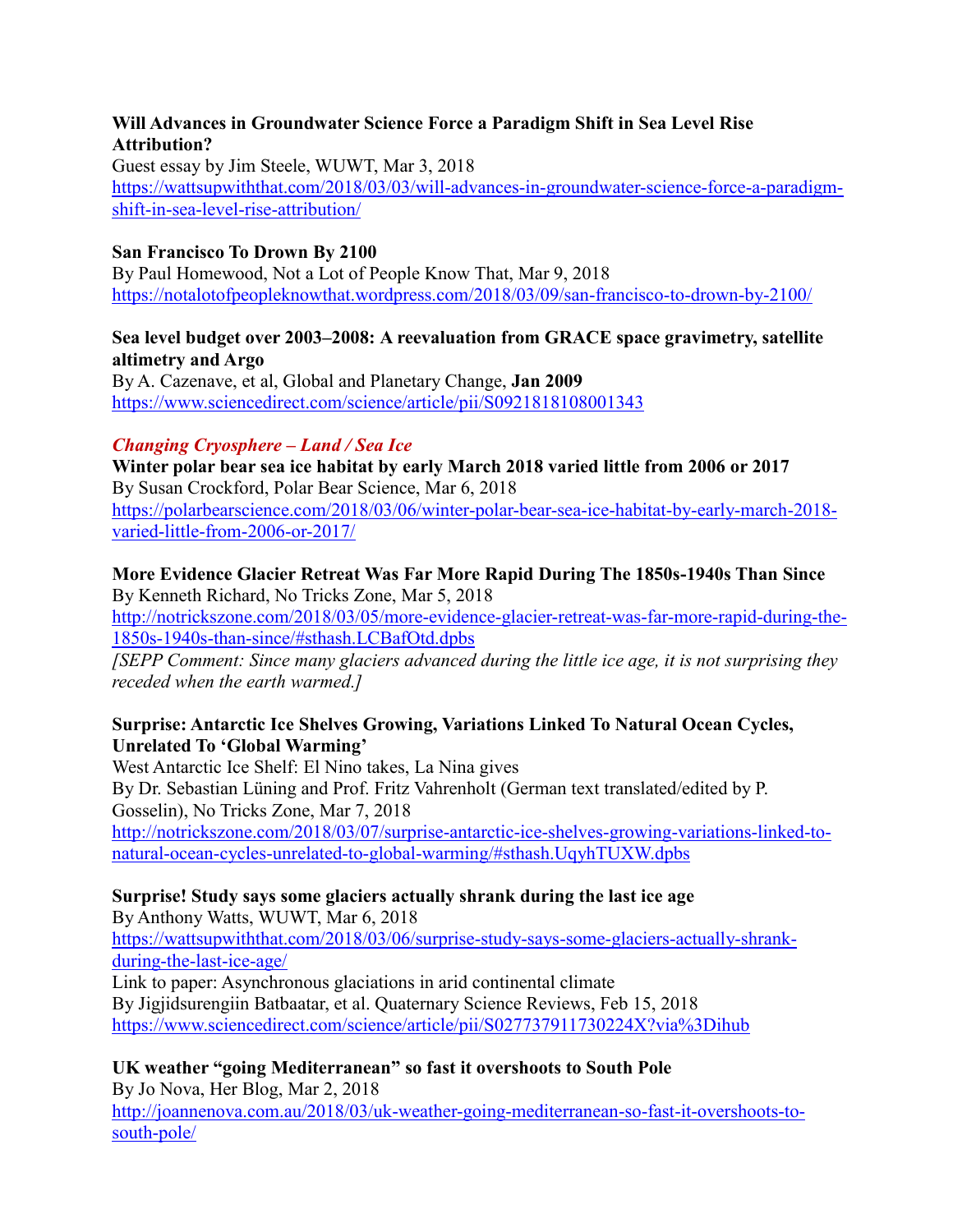### **Will Advances in Groundwater Science Force a Paradigm Shift in Sea Level Rise Attribution?**

Guest essay by Jim Steele, WUWT, Mar 3, 2018 [https://wattsupwiththat.com/2018/03/03/will-advances-in-groundwater-science-force-a-paradigm](https://wattsupwiththat.com/2018/03/03/will-advances-in-groundwater-science-force-a-paradigm-shift-in-sea-level-rise-attribution/)[shift-in-sea-level-rise-attribution/](https://wattsupwiththat.com/2018/03/03/will-advances-in-groundwater-science-force-a-paradigm-shift-in-sea-level-rise-attribution/)

### **San Francisco To Drown By 2100**

By Paul Homewood, Not a Lot of People Know That, Mar 9, 2018 <https://notalotofpeopleknowthat.wordpress.com/2018/03/09/san-francisco-to-drown-by-2100/>

### **Sea level budget over 2003–2008: A reevaluation from GRACE space gravimetry, satellite altimetry and Argo**

By A. Cazenave, et al, Global and Planetary Change, **Jan 2009** <https://www.sciencedirect.com/science/article/pii/S0921818108001343>

## *Changing Cryosphere – Land / Sea Ice*

**Winter polar bear sea ice habitat by early March 2018 varied little from 2006 or 2017** By Susan Crockford, Polar Bear Science, Mar 6, 2018 [https://polarbearscience.com/2018/03/06/winter-polar-bear-sea-ice-habitat-by-early-march-2018](https://polarbearscience.com/2018/03/06/winter-polar-bear-sea-ice-habitat-by-early-march-2018-varied-little-from-2006-or-2017/) [varied-little-from-2006-or-2017/](https://polarbearscience.com/2018/03/06/winter-polar-bear-sea-ice-habitat-by-early-march-2018-varied-little-from-2006-or-2017/)

# **More Evidence Glacier Retreat Was Far More Rapid During The 1850s-1940s Than Since**

By Kenneth Richard, No Tricks Zone, Mar 5, 2018 [http://notrickszone.com/2018/03/05/more-evidence-glacier-retreat-was-far-more-rapid-during-the-](http://notrickszone.com/2018/03/05/more-evidence-glacier-retreat-was-far-more-rapid-during-the-1850s-1940s-than-since/#sthash.LCBafOtd.dpbs)[1850s-1940s-than-since/#sthash.LCBafOtd.dpbs](http://notrickszone.com/2018/03/05/more-evidence-glacier-retreat-was-far-more-rapid-during-the-1850s-1940s-than-since/#sthash.LCBafOtd.dpbs)

*[SEPP Comment: Since many glaciers advanced during the little ice age, it is not surprising they receded when the earth warmed.]*

### **Surprise: Antarctic Ice Shelves Growing, Variations Linked To Natural Ocean Cycles, Unrelated To 'Global Warming'**

West Antarctic Ice Shelf: El Nino takes, La Nina gives By Dr. Sebastian Lüning and Prof. Fritz Vahrenholt (German text translated/edited by P. Gosselin), No Tricks Zone, Mar 7, 2018 [http://notrickszone.com/2018/03/07/surprise-antarctic-ice-shelves-growing-variations-linked-to-](http://notrickszone.com/2018/03/07/surprise-antarctic-ice-shelves-growing-variations-linked-to-natural-ocean-cycles-unrelated-to-global-warming/#sthash.UqyhTUXW.dpbs)

## [natural-ocean-cycles-unrelated-to-global-warming/#sthash.UqyhTUXW.dpbs](http://notrickszone.com/2018/03/07/surprise-antarctic-ice-shelves-growing-variations-linked-to-natural-ocean-cycles-unrelated-to-global-warming/#sthash.UqyhTUXW.dpbs)

## **Surprise! Study says some glaciers actually shrank during the last ice age**

By Anthony Watts, WUWT, Mar 6, 2018 [https://wattsupwiththat.com/2018/03/06/surprise-study-says-some-glaciers-actually-shrank](https://wattsupwiththat.com/2018/03/06/surprise-study-says-some-glaciers-actually-shrank-during-the-last-ice-age/)[during-the-last-ice-age/](https://wattsupwiththat.com/2018/03/06/surprise-study-says-some-glaciers-actually-shrank-during-the-last-ice-age/)

Link to paper: Asynchronous glaciations in arid continental climate By Jigjidsurengiin Batbaatar, et al. Quaternary Science Reviews, Feb 15, 2018 <https://www.sciencedirect.com/science/article/pii/S027737911730224X?via%3Dihub>

## **UK weather "going Mediterranean" so fast it overshoots to South Pole**

By Jo Nova, Her Blog, Mar 2, 2018

[http://joannenova.com.au/2018/03/uk-weather-going-mediterranean-so-fast-it-overshoots-to](http://joannenova.com.au/2018/03/uk-weather-going-mediterranean-so-fast-it-overshoots-to-south-pole/)[south-pole/](http://joannenova.com.au/2018/03/uk-weather-going-mediterranean-so-fast-it-overshoots-to-south-pole/)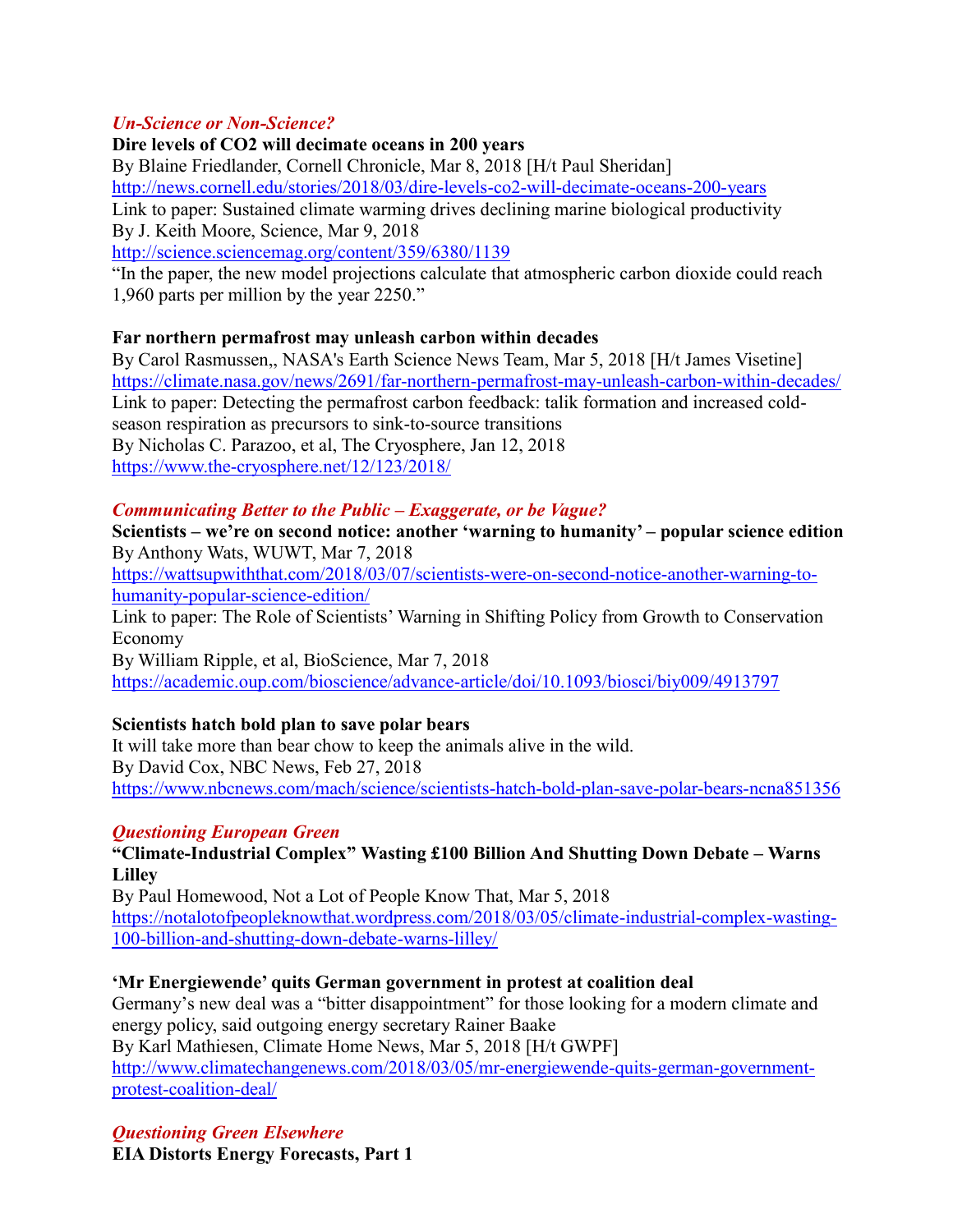### *Un-Science or Non-Science?*

### **Dire levels of CO2 will decimate oceans in 200 years**

By Blaine Friedlander, Cornell Chronicle, Mar 8, 2018 [H/t Paul Sheridan] <http://news.cornell.edu/stories/2018/03/dire-levels-co2-will-decimate-oceans-200-years> Link to paper: Sustained climate warming drives declining marine biological productivity By J. Keith Moore, Science, Mar 9, 2018

<http://science.sciencemag.org/content/359/6380/1139>

"In the paper, the new model projections calculate that atmospheric carbon dioxide could reach 1,960 parts per million by the year 2250."

### **Far northern permafrost may unleash carbon within decades**

By Carol Rasmussen,, NASA's Earth Science News Team, Mar 5, 2018 [H/t James Visetine] <https://climate.nasa.gov/news/2691/far-northern-permafrost-may-unleash-carbon-within-decades/> Link to paper: Detecting the permafrost carbon feedback: talik formation and increased coldseason respiration as precursors to sink-to-source transitions By Nicholas C. Parazoo, et al, The Cryosphere, Jan 12, 2018 <https://www.the-cryosphere.net/12/123/2018/>

### *Communicating Better to the Public – Exaggerate, or be Vague?*

**Scientists – we're on second notice: another 'warning to humanity' – popular science edition** By Anthony Wats, WUWT, Mar 7, 2018

[https://wattsupwiththat.com/2018/03/07/scientists-were-on-second-notice-another-warning-to](https://wattsupwiththat.com/2018/03/07/scientists-were-on-second-notice-another-warning-to-humanity-popular-science-edition/)[humanity-popular-science-edition/](https://wattsupwiththat.com/2018/03/07/scientists-were-on-second-notice-another-warning-to-humanity-popular-science-edition/)

Link to paper: The Role of Scientists' Warning in Shifting Policy from Growth to Conservation Economy

By William Ripple, et al, BioScience, Mar 7, 2018

<https://academic.oup.com/bioscience/advance-article/doi/10.1093/biosci/biy009/4913797>

### **Scientists hatch bold plan to save polar bears**

It will take more than bear chow to keep the animals alive in the wild. By David Cox, NBC News, Feb 27, 2018 <https://www.nbcnews.com/mach/science/scientists-hatch-bold-plan-save-polar-bears-ncna851356>

### *Questioning European Green*

### **"Climate-Industrial Complex" Wasting £100 Billion And Shutting Down Debate – Warns Lilley**

By Paul Homewood, Not a Lot of People Know That, Mar 5, 2018 [https://notalotofpeopleknowthat.wordpress.com/2018/03/05/climate-industrial-complex-wasting-](https://notalotofpeopleknowthat.wordpress.com/2018/03/05/climate-industrial-complex-wasting-100-billion-and-shutting-down-debate-warns-lilley/)[100-billion-and-shutting-down-debate-warns-lilley/](https://notalotofpeopleknowthat.wordpress.com/2018/03/05/climate-industrial-complex-wasting-100-billion-and-shutting-down-debate-warns-lilley/)

### **'Mr Energiewende' quits German government in protest at coalition deal**

Germany's new deal was a "bitter disappointment" for those looking for a modern climate and energy policy, said outgoing energy secretary Rainer Baake

By Karl Mathiesen, Climate Home News, Mar 5, 2018 [H/t GWPF]

[http://www.climatechangenews.com/2018/03/05/mr-energiewende-quits-german-government](http://www.climatechangenews.com/2018/03/05/mr-energiewende-quits-german-government-protest-coalition-deal/)[protest-coalition-deal/](http://www.climatechangenews.com/2018/03/05/mr-energiewende-quits-german-government-protest-coalition-deal/)

*Questioning Green Elsewhere* **EIA Distorts Energy Forecasts, Part 1**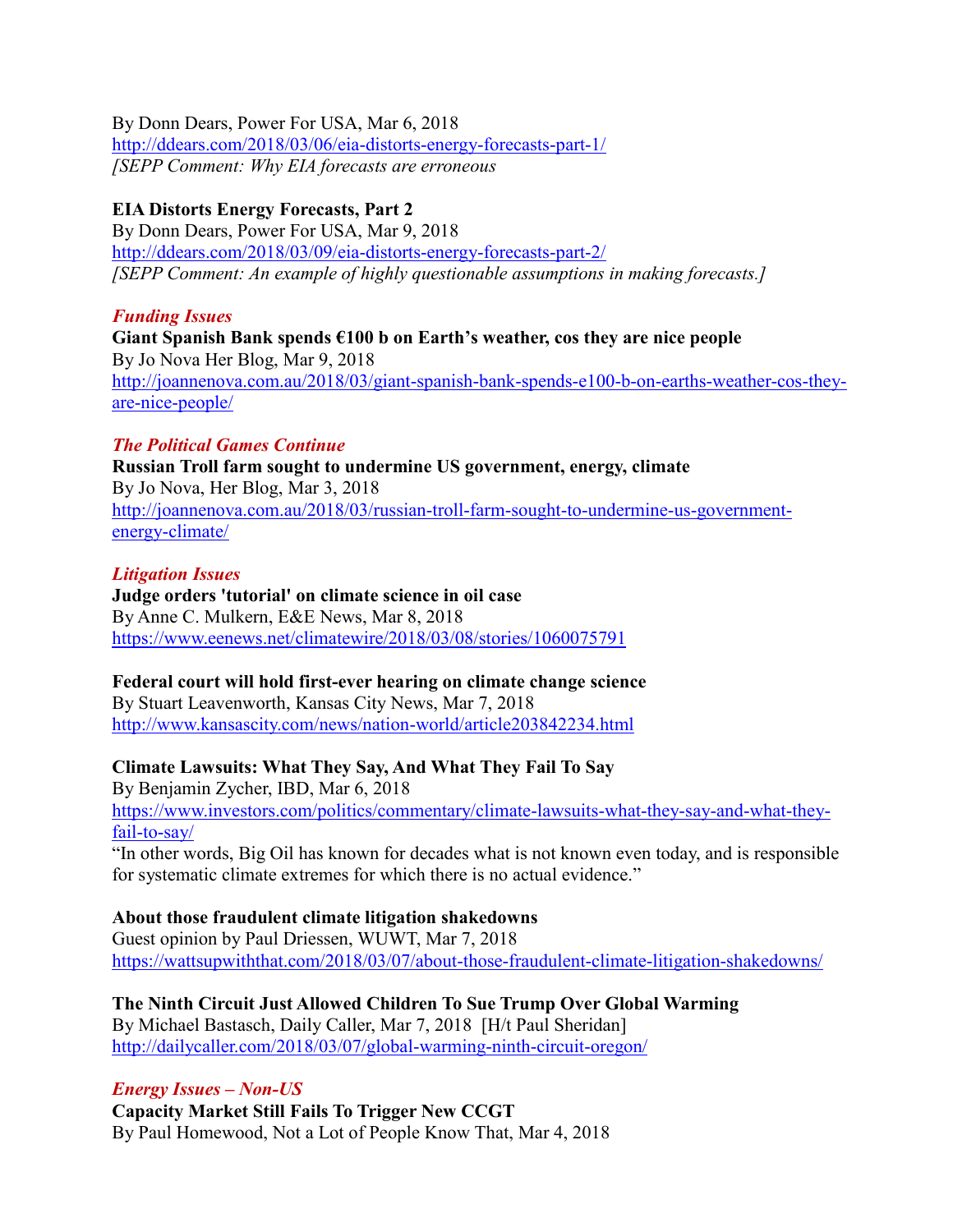By Donn Dears, Power For USA, Mar 6, 2018 <http://ddears.com/2018/03/06/eia-distorts-energy-forecasts-part-1/> *[SEPP Comment: Why EIA forecasts are erroneous*

## **EIA Distorts Energy Forecasts, Part 2**

By Donn Dears, Power For USA, Mar 9, 2018 <http://ddears.com/2018/03/09/eia-distorts-energy-forecasts-part-2/> *[SEPP Comment: An example of highly questionable assumptions in making forecasts.]*

## *Funding Issues*

**Giant Spanish Bank spends €100 b on Earth's weather, cos they are nice people** By Jo Nova Her Blog, Mar 9, 2018 [http://joannenova.com.au/2018/03/giant-spanish-bank-spends-e100-b-on-earths-weather-cos-they](http://joannenova.com.au/2018/03/giant-spanish-bank-spends-e100-b-on-earths-weather-cos-they-are-nice-people/)[are-nice-people/](http://joannenova.com.au/2018/03/giant-spanish-bank-spends-e100-b-on-earths-weather-cos-they-are-nice-people/)

## *The Political Games Continue*

**Russian Troll farm sought to undermine US government, energy, climate** By Jo Nova, Her Blog, Mar 3, 2018 [http://joannenova.com.au/2018/03/russian-troll-farm-sought-to-undermine-us-government](http://joannenova.com.au/2018/03/russian-troll-farm-sought-to-undermine-us-government-energy-climate/)[energy-climate/](http://joannenova.com.au/2018/03/russian-troll-farm-sought-to-undermine-us-government-energy-climate/)

## *Litigation Issues*

**Judge orders 'tutorial' on climate science in oil case** By Anne C. Mulkern, E&E News, Mar 8, 2018 <https://www.eenews.net/climatewire/2018/03/08/stories/1060075791>

## **Federal court will hold first-ever hearing on climate change science**

By Stuart Leavenworth, Kansas City News, Mar 7, 2018 <http://www.kansascity.com/news/nation-world/article203842234.html>

## **Climate Lawsuits: What They Say, And What They Fail To Say**

By Benjamin Zycher, IBD, Mar 6, 2018 [https://www.investors.com/politics/commentary/climate-lawsuits-what-they-say-and-what-they](https://www.investors.com/politics/commentary/climate-lawsuits-what-they-say-and-what-they-fail-to-say/)[fail-to-say/](https://www.investors.com/politics/commentary/climate-lawsuits-what-they-say-and-what-they-fail-to-say/)

"In other words, Big Oil has known for decades what is not known even today, and is responsible for systematic climate extremes for which there is no actual evidence."

## **About those fraudulent climate litigation shakedowns**

Guest opinion by Paul Driessen, WUWT, Mar 7, 2018 <https://wattsupwiththat.com/2018/03/07/about-those-fraudulent-climate-litigation-shakedowns/>

**The Ninth Circuit Just Allowed Children To Sue Trump Over Global Warming** By Michael Bastasch, Daily Caller, Mar 7, 2018 [H/t Paul Sheridan] <http://dailycaller.com/2018/03/07/global-warming-ninth-circuit-oregon/>

## *Energy Issues – Non-US*

**Capacity Market Still Fails To Trigger New CCGT** By Paul Homewood, Not a Lot of People Know That, Mar 4, 2018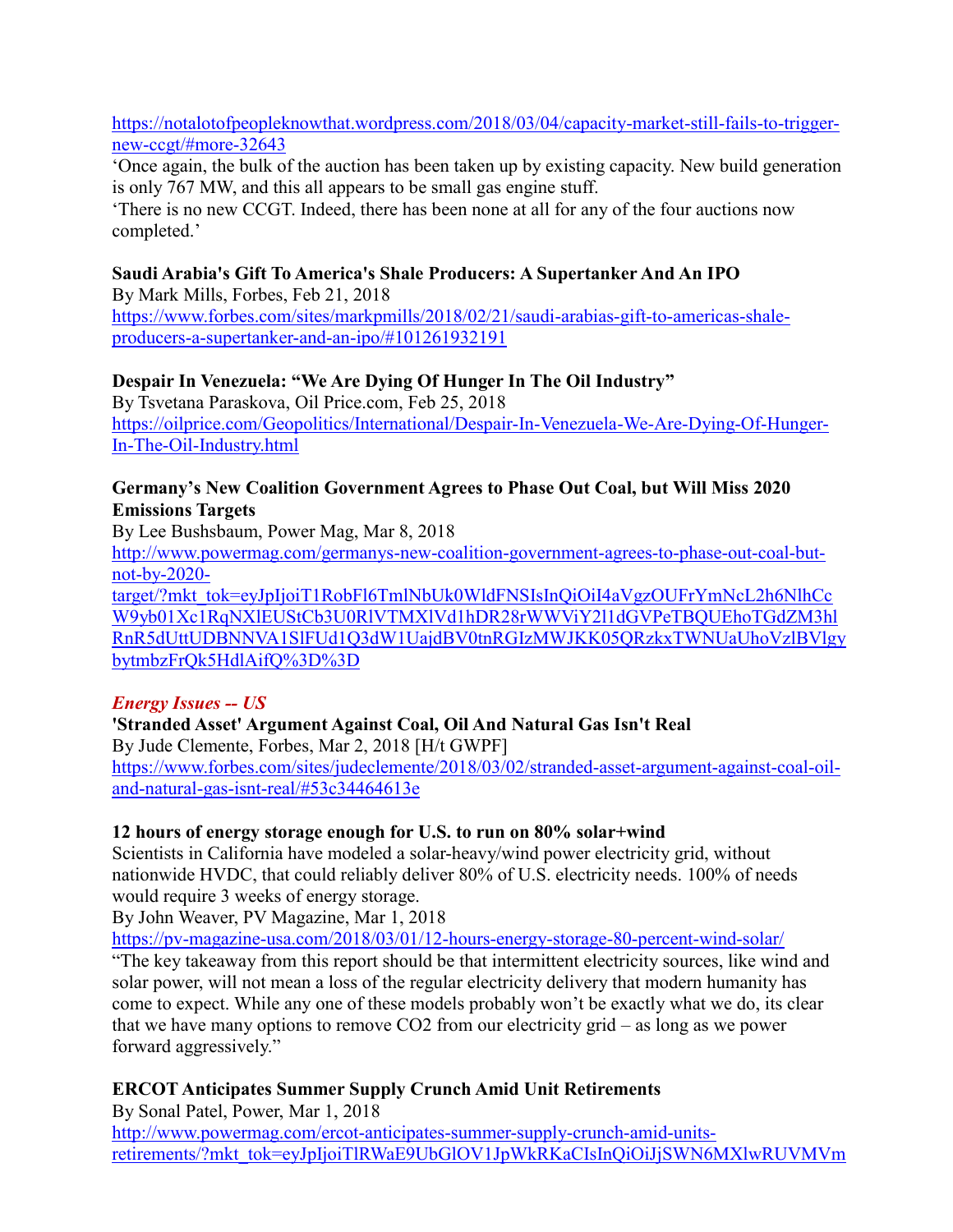[https://notalotofpeopleknowthat.wordpress.com/2018/03/04/capacity-market-still-fails-to-trigger](https://notalotofpeopleknowthat.wordpress.com/2018/03/04/capacity-market-still-fails-to-trigger-new-ccgt/#more-32643)[new-ccgt/#more-32643](https://notalotofpeopleknowthat.wordpress.com/2018/03/04/capacity-market-still-fails-to-trigger-new-ccgt/#more-32643)

'Once again, the bulk of the auction has been taken up by existing capacity. New build generation is only 767 MW, and this all appears to be small gas engine stuff.

'There is no new CCGT. Indeed, there has been none at all for any of the four auctions now completed.'

### **Saudi Arabia's Gift To America's Shale Producers: A Supertanker And An IPO**

By Mark Mills, Forbes, Feb 21, 2018 [https://www.forbes.com/sites/markpmills/2018/02/21/saudi-arabias-gift-to-americas-shale](https://www.forbes.com/sites/markpmills/2018/02/21/saudi-arabias-gift-to-americas-shale-producers-a-supertanker-and-an-ipo/#101261932191)[producers-a-supertanker-and-an-ipo/#101261932191](https://www.forbes.com/sites/markpmills/2018/02/21/saudi-arabias-gift-to-americas-shale-producers-a-supertanker-and-an-ipo/#101261932191)

## **Despair In Venezuela: "We Are Dying Of Hunger In The Oil Industry"**

By Tsvetana Paraskova, Oil Price.com, Feb 25, 2018 [https://oilprice.com/Geopolitics/International/Despair-In-Venezuela-We-Are-Dying-Of-Hunger-](https://oilprice.com/Geopolitics/International/Despair-In-Venezuela-We-Are-Dying-Of-Hunger-In-The-Oil-Industry.html)[In-The-Oil-Industry.html](https://oilprice.com/Geopolitics/International/Despair-In-Venezuela-We-Are-Dying-Of-Hunger-In-The-Oil-Industry.html)

### **Germany's New Coalition Government Agrees to Phase Out Coal, but Will Miss 2020 Emissions Targets**

By Lee Bushsbaum, Power Mag, Mar 8, 2018

[http://www.powermag.com/germanys-new-coalition-government-agrees-to-phase-out-coal-but](http://www.powermag.com/germanys-new-coalition-government-agrees-to-phase-out-coal-but-not-by-2020-target/?mkt_tok=eyJpIjoiT1RobFl6TmlNbUk0WldFNSIsInQiOiI4aVgzOUFrYmNcL2h6NlhCcW9yb01Xc1RqNXlEUStCb3U0RlVTMXlVd1hDR28rWWViY2l1dGVPeTBQUEhoTGdZM3hlRnR5dUttUDBNNVA1SlFUd1Q3dW1UajdBV0tnRGIzMWJKK05QRzkxTWNUaUhoVzlBVlgybytmbzFrQk5HdlAifQ%3D%3D)[not-by-2020-](http://www.powermag.com/germanys-new-coalition-government-agrees-to-phase-out-coal-but-not-by-2020-target/?mkt_tok=eyJpIjoiT1RobFl6TmlNbUk0WldFNSIsInQiOiI4aVgzOUFrYmNcL2h6NlhCcW9yb01Xc1RqNXlEUStCb3U0RlVTMXlVd1hDR28rWWViY2l1dGVPeTBQUEhoTGdZM3hlRnR5dUttUDBNNVA1SlFUd1Q3dW1UajdBV0tnRGIzMWJKK05QRzkxTWNUaUhoVzlBVlgybytmbzFrQk5HdlAifQ%3D%3D)

[target/?mkt\\_tok=eyJpIjoiT1RobFl6TmlNbUk0WldFNSIsInQiOiI4aVgzOUFrYmNcL2h6NlhCc](http://www.powermag.com/germanys-new-coalition-government-agrees-to-phase-out-coal-but-not-by-2020-target/?mkt_tok=eyJpIjoiT1RobFl6TmlNbUk0WldFNSIsInQiOiI4aVgzOUFrYmNcL2h6NlhCcW9yb01Xc1RqNXlEUStCb3U0RlVTMXlVd1hDR28rWWViY2l1dGVPeTBQUEhoTGdZM3hlRnR5dUttUDBNNVA1SlFUd1Q3dW1UajdBV0tnRGIzMWJKK05QRzkxTWNUaUhoVzlBVlgybytmbzFrQk5HdlAifQ%3D%3D) [W9yb01Xc1RqNXlEUStCb3U0RlVTMXlVd1hDR28rWWViY2l1dGVPeTBQUEhoTGdZM3hl](http://www.powermag.com/germanys-new-coalition-government-agrees-to-phase-out-coal-but-not-by-2020-target/?mkt_tok=eyJpIjoiT1RobFl6TmlNbUk0WldFNSIsInQiOiI4aVgzOUFrYmNcL2h6NlhCcW9yb01Xc1RqNXlEUStCb3U0RlVTMXlVd1hDR28rWWViY2l1dGVPeTBQUEhoTGdZM3hlRnR5dUttUDBNNVA1SlFUd1Q3dW1UajdBV0tnRGIzMWJKK05QRzkxTWNUaUhoVzlBVlgybytmbzFrQk5HdlAifQ%3D%3D) [RnR5dUttUDBNNVA1SlFUd1Q3dW1UajdBV0tnRGIzMWJKK05QRzkxTWNUaUhoVzlBVlgy](http://www.powermag.com/germanys-new-coalition-government-agrees-to-phase-out-coal-but-not-by-2020-target/?mkt_tok=eyJpIjoiT1RobFl6TmlNbUk0WldFNSIsInQiOiI4aVgzOUFrYmNcL2h6NlhCcW9yb01Xc1RqNXlEUStCb3U0RlVTMXlVd1hDR28rWWViY2l1dGVPeTBQUEhoTGdZM3hlRnR5dUttUDBNNVA1SlFUd1Q3dW1UajdBV0tnRGIzMWJKK05QRzkxTWNUaUhoVzlBVlgybytmbzFrQk5HdlAifQ%3D%3D) [bytmbzFrQk5HdlAifQ%3D%3D](http://www.powermag.com/germanys-new-coalition-government-agrees-to-phase-out-coal-but-not-by-2020-target/?mkt_tok=eyJpIjoiT1RobFl6TmlNbUk0WldFNSIsInQiOiI4aVgzOUFrYmNcL2h6NlhCcW9yb01Xc1RqNXlEUStCb3U0RlVTMXlVd1hDR28rWWViY2l1dGVPeTBQUEhoTGdZM3hlRnR5dUttUDBNNVA1SlFUd1Q3dW1UajdBV0tnRGIzMWJKK05QRzkxTWNUaUhoVzlBVlgybytmbzFrQk5HdlAifQ%3D%3D)

### *Energy Issues -- US*

### **'Stranded Asset' Argument Against Coal, Oil And Natural Gas Isn't Real** By Jude Clemente, Forbes, Mar 2, 2018 [H/t GWPF] [https://www.forbes.com/sites/judeclemente/2018/03/02/stranded-asset-argument-against-coal-oil](https://www.forbes.com/sites/judeclemente/2018/03/02/stranded-asset-argument-against-coal-oil-and-natural-gas-isnt-real/#53c34464613e)[and-natural-gas-isnt-real/#53c34464613e](https://www.forbes.com/sites/judeclemente/2018/03/02/stranded-asset-argument-against-coal-oil-and-natural-gas-isnt-real/#53c34464613e)

### **12 hours of energy storage enough for U.S. to run on 80% solar+wind**

Scientists in California have modeled a solar-heavy/wind power electricity grid, without nationwide HVDC, that could reliably deliver 80% of U.S. electricity needs. 100% of needs would require 3 weeks of energy storage.

By John Weaver, PV Magazine, Mar 1, 2018

<https://pv-magazine-usa.com/2018/03/01/12-hours-energy-storage-80-percent-wind-solar/>

"The key takeaway from this report should be that intermittent electricity sources, like wind and solar power, will not mean a loss of the regular electricity delivery that modern humanity has come to expect. While any one of these models probably won't be exactly what we do, its clear that we have many options to remove CO2 from our electricity grid – as long as we power forward aggressively."

## **ERCOT Anticipates Summer Supply Crunch Amid Unit Retirements**

By Sonal Patel, Power, Mar 1, 2018

[http://www.powermag.com/ercot-anticipates-summer-supply-crunch-amid-units](http://www.powermag.com/ercot-anticipates-summer-supply-crunch-amid-units-retirements/?mkt_tok=eyJpIjoiTlRWaE9UbGlOV1JpWkRKaCIsInQiOiJjSWN6MXlwRUVMVmZpUGFMMVJibk1rVnpYVWN3U1hTRkJmT05cL29aV3BuSDhpUWVJRmlja3FrR1wvWjBDYlByeWh4YkhWdytUOHE4ZVA0WWJLMmFyMUdJS3I4c3dYOVErMmxcL3BYZXhOVzBQUFNtS3VBWmVvVURcL1NPZ3dWcXhmWGkifQ%3D%3D)[retirements/?mkt\\_tok=eyJpIjoiTlRWaE9UbGlOV1JpWkRKaCIsInQiOiJjSWN6MXlwRUVMVm](http://www.powermag.com/ercot-anticipates-summer-supply-crunch-amid-units-retirements/?mkt_tok=eyJpIjoiTlRWaE9UbGlOV1JpWkRKaCIsInQiOiJjSWN6MXlwRUVMVmZpUGFMMVJibk1rVnpYVWN3U1hTRkJmT05cL29aV3BuSDhpUWVJRmlja3FrR1wvWjBDYlByeWh4YkhWdytUOHE4ZVA0WWJLMmFyMUdJS3I4c3dYOVErMmxcL3BYZXhOVzBQUFNtS3VBWmVvVURcL1NPZ3dWcXhmWGkifQ%3D%3D)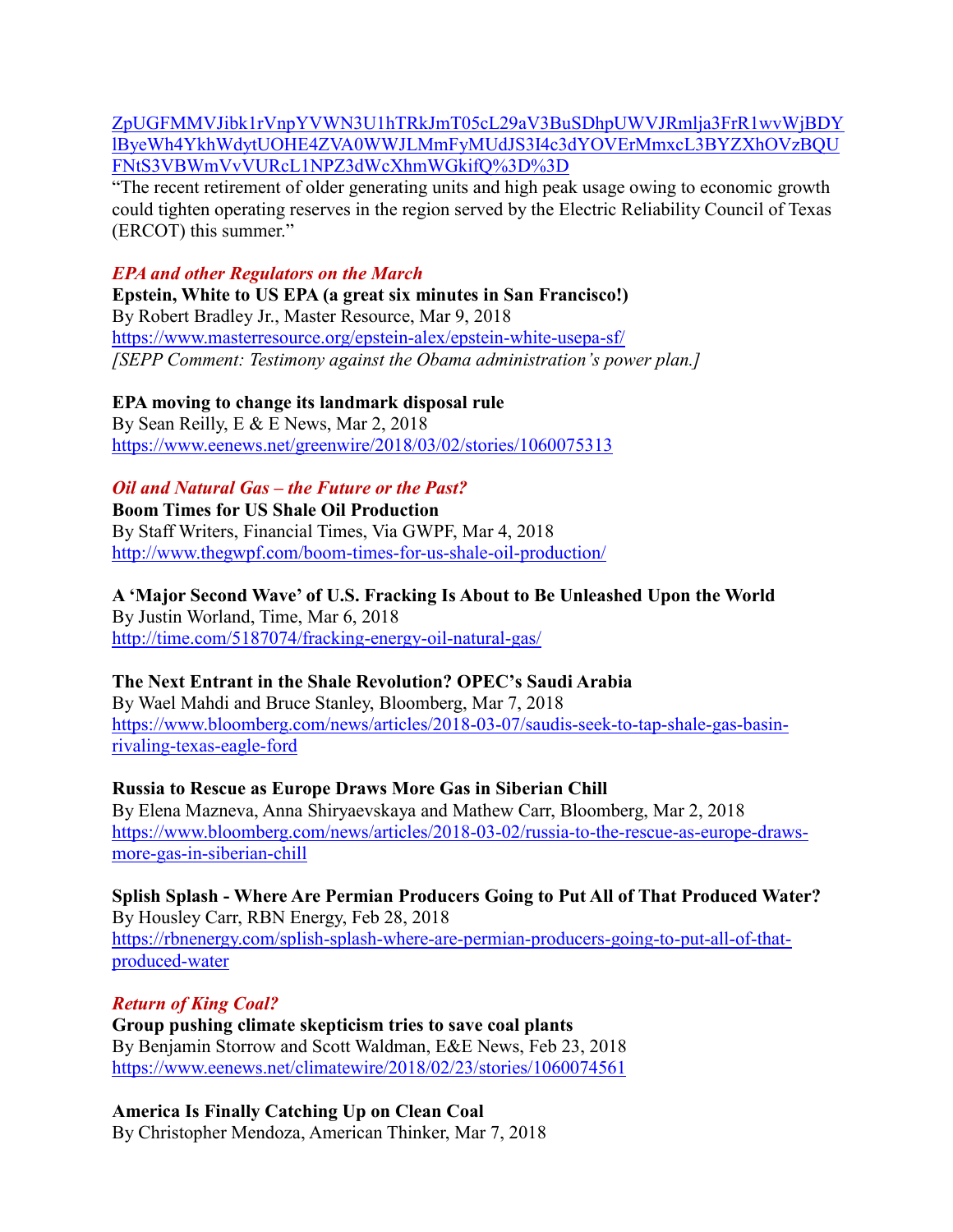[ZpUGFMMVJibk1rVnpYVWN3U1hTRkJmT05cL29aV3BuSDhpUWVJRmlja3FrR1wvWjBDY](http://www.powermag.com/ercot-anticipates-summer-supply-crunch-amid-units-retirements/?mkt_tok=eyJpIjoiTlRWaE9UbGlOV1JpWkRKaCIsInQiOiJjSWN6MXlwRUVMVmZpUGFMMVJibk1rVnpYVWN3U1hTRkJmT05cL29aV3BuSDhpUWVJRmlja3FrR1wvWjBDYlByeWh4YkhWdytUOHE4ZVA0WWJLMmFyMUdJS3I4c3dYOVErMmxcL3BYZXhOVzBQUFNtS3VBWmVvVURcL1NPZ3dWcXhmWGkifQ%3D%3D) [lByeWh4YkhWdytUOHE4ZVA0WWJLMmFyMUdJS3I4c3dYOVErMmxcL3BYZXhOVzBQU](http://www.powermag.com/ercot-anticipates-summer-supply-crunch-amid-units-retirements/?mkt_tok=eyJpIjoiTlRWaE9UbGlOV1JpWkRKaCIsInQiOiJjSWN6MXlwRUVMVmZpUGFMMVJibk1rVnpYVWN3U1hTRkJmT05cL29aV3BuSDhpUWVJRmlja3FrR1wvWjBDYlByeWh4YkhWdytUOHE4ZVA0WWJLMmFyMUdJS3I4c3dYOVErMmxcL3BYZXhOVzBQUFNtS3VBWmVvVURcL1NPZ3dWcXhmWGkifQ%3D%3D) [FNtS3VBWmVvVURcL1NPZ3dWcXhmWGkifQ%3D%3D](http://www.powermag.com/ercot-anticipates-summer-supply-crunch-amid-units-retirements/?mkt_tok=eyJpIjoiTlRWaE9UbGlOV1JpWkRKaCIsInQiOiJjSWN6MXlwRUVMVmZpUGFMMVJibk1rVnpYVWN3U1hTRkJmT05cL29aV3BuSDhpUWVJRmlja3FrR1wvWjBDYlByeWh4YkhWdytUOHE4ZVA0WWJLMmFyMUdJS3I4c3dYOVErMmxcL3BYZXhOVzBQUFNtS3VBWmVvVURcL1NPZ3dWcXhmWGkifQ%3D%3D)

"The recent retirement of older generating units and high peak usage owing to economic growth could tighten operating reserves in the region served by the Electric Reliability Council of Texas (ERCOT) this summer."

### *EPA and other Regulators on the March*

**Epstein, White to US EPA (a great six minutes in San Francisco!)** By Robert Bradley Jr., Master Resource, Mar 9, 2018 <https://www.masterresource.org/epstein-alex/epstein-white-usepa-sf/> *[SEPP Comment: Testimony against the Obama administration's power plan.]*

## **EPA moving to change its landmark disposal rule**

By Sean Reilly, E & E News, Mar 2, 2018 <https://www.eenews.net/greenwire/2018/03/02/stories/1060075313>

## *Oil and Natural Gas – the Future or the Past?*

**Boom Times for US Shale Oil Production** By Staff Writers, Financial Times, Via GWPF, Mar 4, 2018 <http://www.thegwpf.com/boom-times-for-us-shale-oil-production/>

### **A 'Major Second Wave' of U.S. Fracking Is About to Be Unleashed Upon the World** By Justin Worland, Time, Mar 6, 2018 <http://time.com/5187074/fracking-energy-oil-natural-gas/>

## **The Next Entrant in the Shale Revolution? OPEC's Saudi Arabia**

By Wael Mahdi and Bruce Stanley, Bloomberg, Mar 7, 2018 [https://www.bloomberg.com/news/articles/2018-03-07/saudis-seek-to-tap-shale-gas-basin](https://www.bloomberg.com/news/articles/2018-03-07/saudis-seek-to-tap-shale-gas-basin-rivaling-texas-eagle-ford)[rivaling-texas-eagle-ford](https://www.bloomberg.com/news/articles/2018-03-07/saudis-seek-to-tap-shale-gas-basin-rivaling-texas-eagle-ford)

### **Russia to Rescue as Europe Draws More Gas in Siberian Chill**

By Elena Mazneva, Anna Shiryaevskaya and Mathew Carr, Bloomberg, Mar 2, 2018 [https://www.bloomberg.com/news/articles/2018-03-02/russia-to-the-rescue-as-europe-draws](https://www.bloomberg.com/news/articles/2018-03-02/russia-to-the-rescue-as-europe-draws-more-gas-in-siberian-chill)[more-gas-in-siberian-chill](https://www.bloomberg.com/news/articles/2018-03-02/russia-to-the-rescue-as-europe-draws-more-gas-in-siberian-chill)

### **Splish Splash - Where Are Permian Producers Going to Put All of That Produced Water?** By Housley Carr, RBN Energy, Feb 28, 2018 [https://rbnenergy.com/splish-splash-where-are-permian-producers-going-to-put-all-of-that](https://rbnenergy.com/splish-splash-where-are-permian-producers-going-to-put-all-of-that-produced-water)[produced-water](https://rbnenergy.com/splish-splash-where-are-permian-producers-going-to-put-all-of-that-produced-water)

### *Return of King Coal?*

**Group pushing climate skepticism tries to save coal plants** By Benjamin Storrow and Scott Waldman, E&E News, Feb 23, 2018 <https://www.eenews.net/climatewire/2018/02/23/stories/1060074561>

**America Is Finally Catching Up on Clean Coal** By Christopher Mendoza, American Thinker, Mar 7, 2018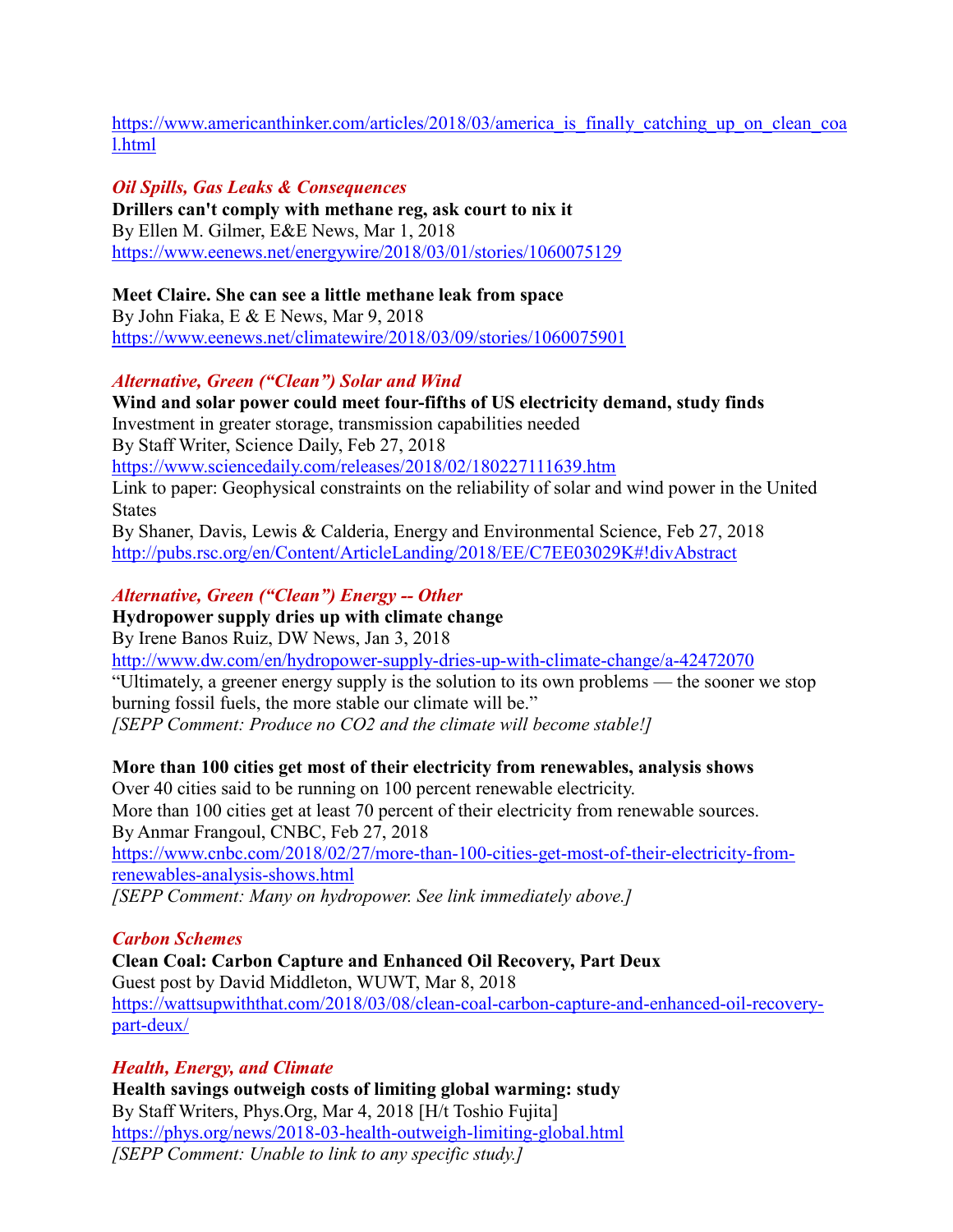https://www.americanthinker.com/articles/2018/03/america is finally catching up on clean coa [l.html](https://www.americanthinker.com/articles/2018/03/america_is_finally_catching_up_on_clean_coal.html)

### *Oil Spills, Gas Leaks & Consequences*

**Drillers can't comply with methane reg, ask court to nix it** By Ellen M. Gilmer, E&E News, Mar 1, 2018 <https://www.eenews.net/energywire/2018/03/01/stories/1060075129>

**Meet Claire. She can see a little methane leak from space** By John Fiaka, E & E News, Mar 9, 2018 <https://www.eenews.net/climatewire/2018/03/09/stories/1060075901>

### *Alternative, Green ("Clean") Solar and Wind*

**Wind and solar power could meet four-fifths of US electricity demand, study finds** Investment in greater storage, transmission capabilities needed By Staff Writer, Science Daily, Feb 27, 2018 <https://www.sciencedaily.com/releases/2018/02/180227111639.htm> Link to paper: Geophysical constraints on the reliability of solar and wind power in the United **States** 

By Shaner, Davis, Lewis & Calderia, Energy and Environmental Science, Feb 27, 2018 <http://pubs.rsc.org/en/Content/ArticleLanding/2018/EE/C7EE03029K#!divAbstract>

## *Alternative, Green ("Clean") Energy -- Other*

**Hydropower supply dries up with climate change**

By Irene Banos Ruiz, DW News, Jan 3, 2018

<http://www.dw.com/en/hydropower-supply-dries-up-with-climate-change/a-42472070>

"Ultimately, a greener energy supply is the solution to its own problems — the sooner we stop burning fossil fuels, the more stable our climate will be." *[SEPP Comment: Produce no CO2 and the climate will become stable!]*

### **More than 100 cities get most of their electricity from renewables, analysis shows**

Over 40 cities said to be running on 100 percent renewable electricity. More than 100 cities get at least 70 percent of their electricity from renewable sources.

By Anmar Frangoul, CNBC, Feb 27, 2018

[https://www.cnbc.com/2018/02/27/more-than-100-cities-get-most-of-their-electricity-from](https://www.cnbc.com/2018/02/27/more-than-100-cities-get-most-of-their-electricity-from-renewables-analysis-shows.html)[renewables-analysis-shows.html](https://www.cnbc.com/2018/02/27/more-than-100-cities-get-most-of-their-electricity-from-renewables-analysis-shows.html)

*[SEPP Comment: Many on hydropower. See link immediately above.]*

### *Carbon Schemes*

**Clean Coal: Carbon Capture and Enhanced Oil Recovery, Part Deux** Guest post by David Middleton, WUWT, Mar 8, 2018 [https://wattsupwiththat.com/2018/03/08/clean-coal-carbon-capture-and-enhanced-oil-recovery](https://wattsupwiththat.com/2018/03/08/clean-coal-carbon-capture-and-enhanced-oil-recovery-part-deux/)[part-deux/](https://wattsupwiththat.com/2018/03/08/clean-coal-carbon-capture-and-enhanced-oil-recovery-part-deux/)

### *Health, Energy, and Climate*

**Health savings outweigh costs of limiting global warming: study** By Staff Writers, Phys.Org, Mar 4, 2018 [H/t Toshio Fujita] <https://phys.org/news/2018-03-health-outweigh-limiting-global.html> *[SEPP Comment: Unable to link to any specific study.]*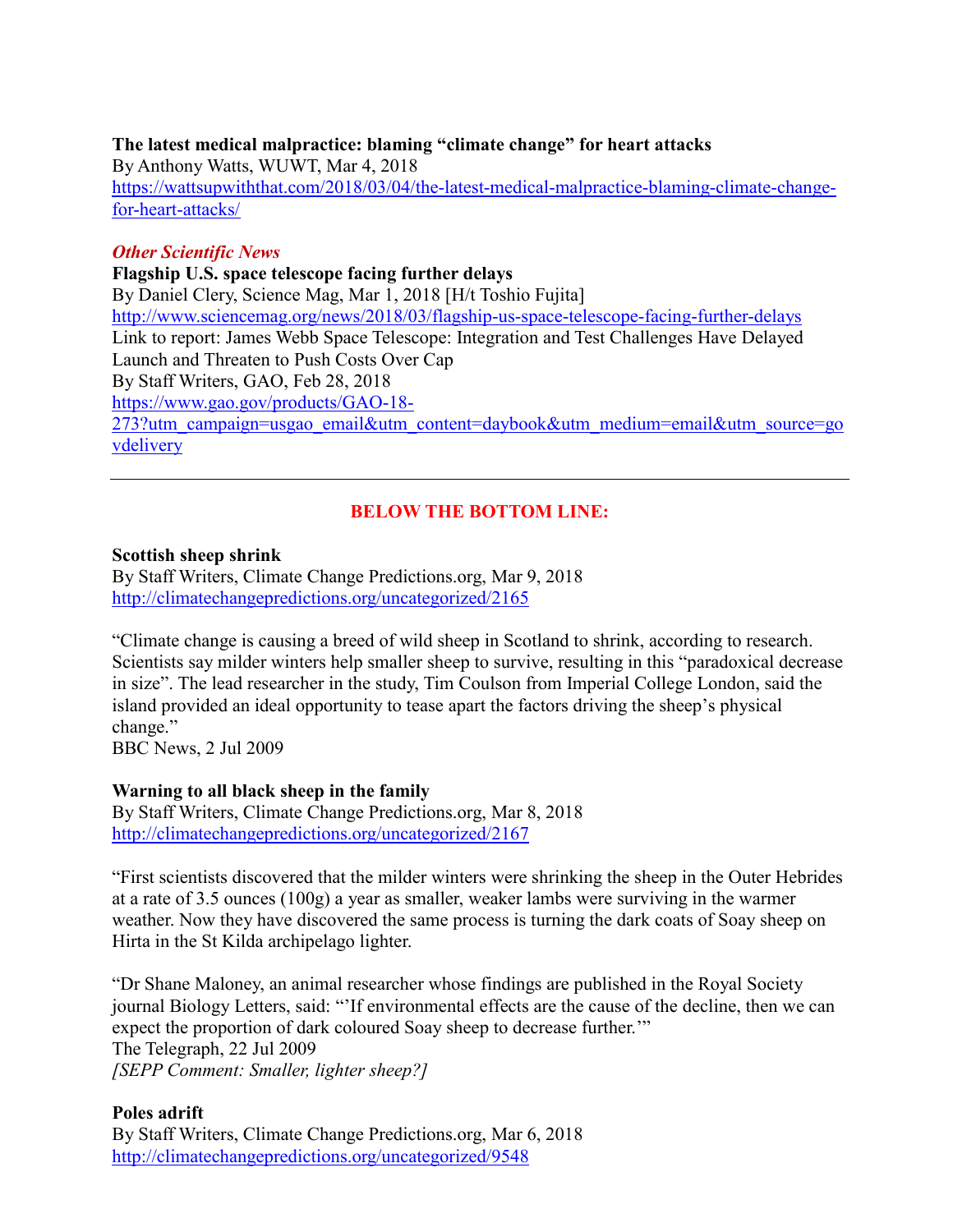**The latest medical malpractice: blaming "climate change" for heart attacks** By Anthony Watts, WUWT, Mar 4, 2018 [https://wattsupwiththat.com/2018/03/04/the-latest-medical-malpractice-blaming-climate-change](https://wattsupwiththat.com/2018/03/04/the-latest-medical-malpractice-blaming-climate-change-for-heart-attacks/)[for-heart-attacks/](https://wattsupwiththat.com/2018/03/04/the-latest-medical-malpractice-blaming-climate-change-for-heart-attacks/)

### *Other Scientific News*

**Flagship U.S. space telescope facing further delays** By Daniel Clery, Science Mag, Mar 1, 2018 [H/t Toshio Fujita] <http://www.sciencemag.org/news/2018/03/flagship-us-space-telescope-facing-further-delays> Link to report: James Webb Space Telescope: Integration and Test Challenges Have Delayed Launch and Threaten to Push Costs Over Cap By Staff Writers, GAO, Feb 28, 2018 [https://www.gao.gov/products/GAO-18-](https://www.gao.gov/products/GAO-18-273?utm_campaign=usgao_email&utm_content=daybook&utm_medium=email&utm_source=govdelivery) [273?utm\\_campaign=usgao\\_email&utm\\_content=daybook&utm\\_medium=email&utm\\_source=go](https://www.gao.gov/products/GAO-18-273?utm_campaign=usgao_email&utm_content=daybook&utm_medium=email&utm_source=govdelivery) [vdelivery](https://www.gao.gov/products/GAO-18-273?utm_campaign=usgao_email&utm_content=daybook&utm_medium=email&utm_source=govdelivery)

### **BELOW THE BOTTOM LINE:**

#### **Scottish sheep shrink**

By Staff Writers, Climate Change Predictions.org, Mar 9, 2018 <http://climatechangepredictions.org/uncategorized/2165>

"Climate change is causing a breed of wild sheep in Scotland to shrink, according to research. Scientists say milder winters help smaller sheep to survive, resulting in this "paradoxical decrease in size". The lead researcher in the study, Tim Coulson from Imperial College London, said the island provided an ideal opportunity to tease apart the factors driving the sheep's physical change."

BBC News, 2 Jul 2009

### **Warning to all black sheep in the family**

By Staff Writers, Climate Change Predictions.org, Mar 8, 2018 <http://climatechangepredictions.org/uncategorized/2167>

"First scientists discovered that the milder winters were shrinking the sheep in the Outer Hebrides at a rate of 3.5 ounces (100g) a year as smaller, weaker lambs were surviving in the warmer weather. Now they have discovered the same process is turning the dark coats of Soay sheep on Hirta in the St Kilda archipelago lighter.

"Dr Shane Maloney, an animal researcher whose findings are published in the Royal Society journal Biology Letters, said: "'If environmental effects are the cause of the decline, then we can expect the proportion of dark coloured Soay sheep to decrease further.'" The Telegraph, 22 Jul 2009 *[SEPP Comment: Smaller, lighter sheep?]*

### **Poles adrift** By Staff Writers, Climate Change Predictions.org, Mar 6, 2018 <http://climatechangepredictions.org/uncategorized/9548>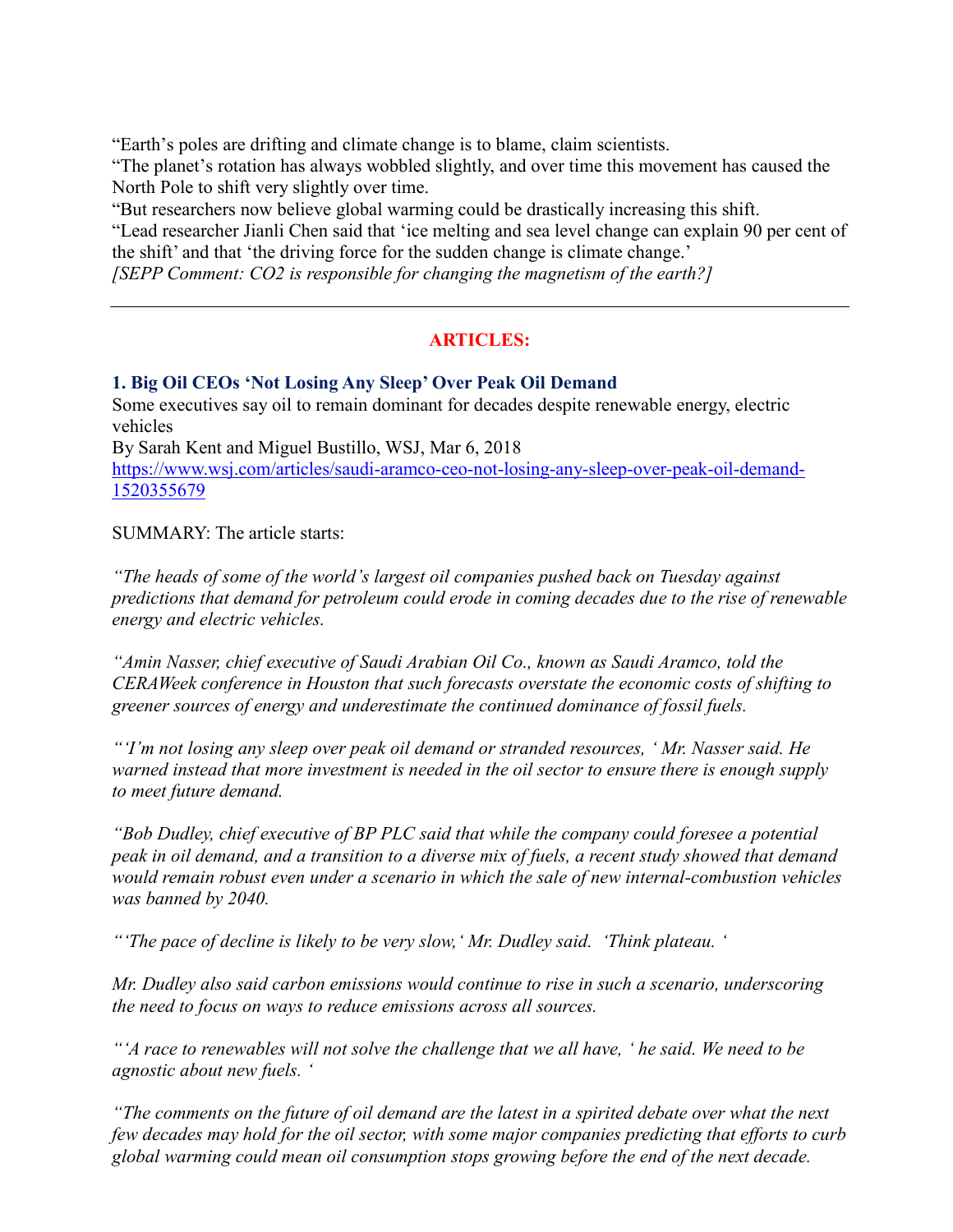"Earth's poles are drifting and climate change is to blame, claim scientists. "The planet's rotation has always wobbled slightly, and over time this movement has caused the North Pole to shift very slightly over time.

"But researchers now believe global warming could be drastically increasing this shift.

"Lead researcher Jianli Chen said that 'ice melting and sea level change can explain 90 per cent of the shift' and that 'the driving force for the sudden change is climate change.'

*[SEPP Comment: CO2 is responsible for changing the magnetism of the earth?]*

## **ARTICLES:**

### **1. Big Oil CEOs 'Not Losing Any Sleep' Over Peak Oil Demand**

Some executives say oil to remain dominant for decades despite renewable energy, electric vehicles

By Sarah Kent and Miguel Bustillo, WSJ, Mar 6, 2018 [https://www.wsj.com/articles/saudi-aramco-ceo-not-losing-any-sleep-over-peak-oil-demand-](https://www.wsj.com/articles/saudi-aramco-ceo-not-losing-any-sleep-over-peak-oil-demand-1520355679)[1520355679](https://www.wsj.com/articles/saudi-aramco-ceo-not-losing-any-sleep-over-peak-oil-demand-1520355679)

SUMMARY: The article starts:

*"The heads of some of the world's largest oil companies pushed back on Tuesday against predictions that demand for petroleum could erode in coming decades due to the rise of renewable energy and electric vehicles.*

*"Amin Nasser, chief executive of Saudi Arabian Oil Co., known as Saudi Aramco, told the CERAWeek conference in Houston that such forecasts overstate the economic costs of shifting to greener sources of energy and underestimate the continued dominance of fossil fuels.*

*"'I'm not losing any sleep over peak oil demand or stranded resources, ' Mr. Nasser said. He warned instead that more investment is needed in the oil sector to ensure there is enough supply to meet future demand.*

*"Bob Dudley, chief executive of BP PLC said that while the company could foresee a potential peak in oil demand, and a transition to a diverse mix of fuels, a recent study showed that demand would remain robust even under a scenario in which the sale of new internal-combustion vehicles was banned by 2040.*

*"'The pace of decline is likely to be very slow,' Mr. Dudley said. 'Think plateau. '*

*Mr. Dudley also said carbon emissions would continue to rise in such a scenario, underscoring the need to focus on ways to reduce emissions across all sources.*

*"'A race to renewables will not solve the challenge that we all have, ' he said. We need to be agnostic about new fuels. '*

*"The comments on the future of oil demand are the latest in a spirited debate over what the next few decades may hold for the oil sector, with some major companies predicting that efforts to curb global warming could mean oil consumption stops growing before the end of the next decade.*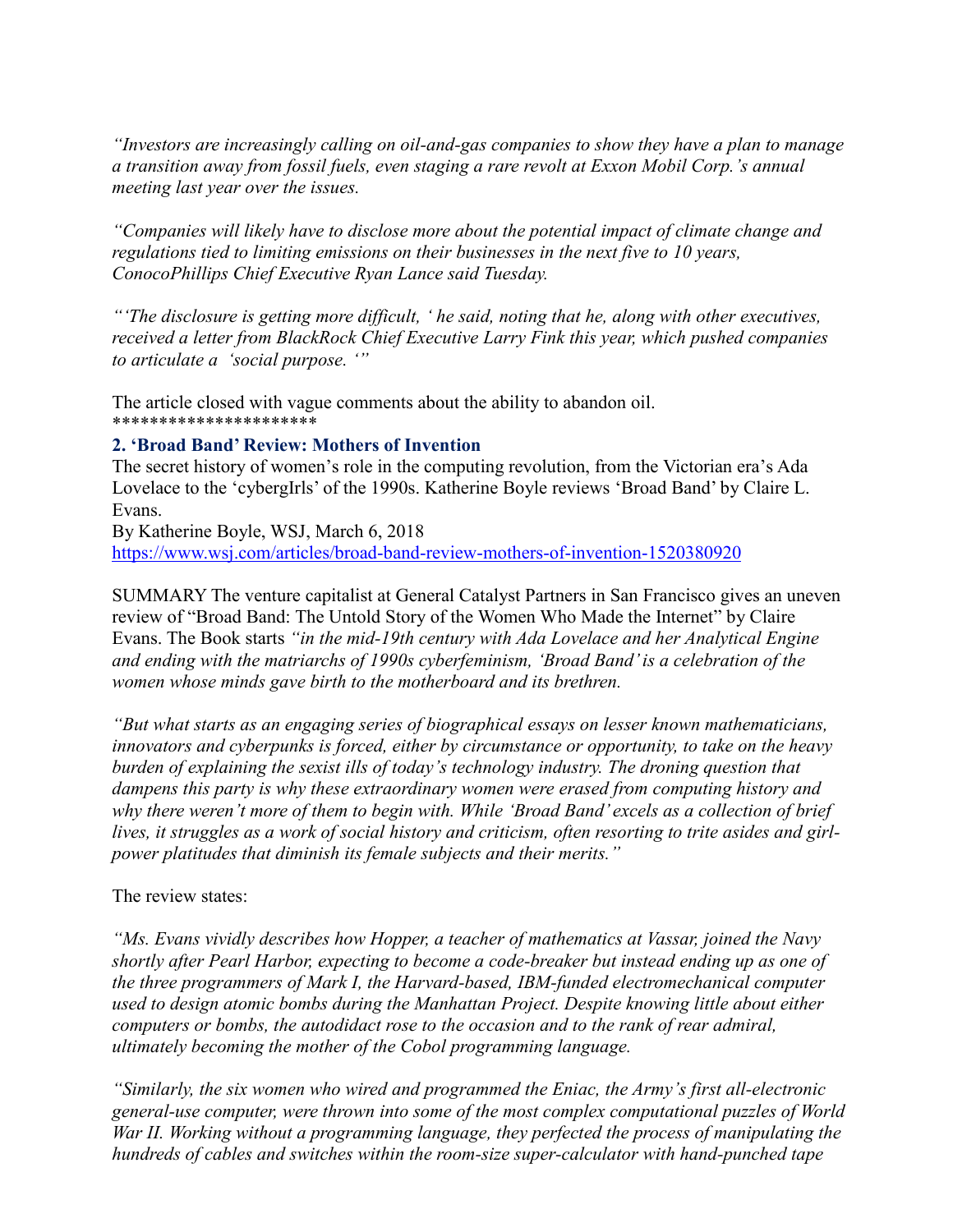*"Investors are increasingly calling on oil-and-gas companies to show they have a plan to manage a transition away from fossil fuels, even staging a rare revolt at Exxon Mobil Corp.'s annual meeting last year over the issues.*

*"Companies will likely have to disclose more about the potential impact of climate change and regulations tied to limiting emissions on their businesses in the next five to 10 years, ConocoPhillips Chief Executive Ryan Lance said Tuesday.*

*"'The disclosure is getting more difficult, ' he said, noting that he, along with other executives, received a letter from BlackRock Chief Executive Larry Fink this year, which pushed companies to articulate a 'social purpose. '"*

The article closed with vague comments about the ability to abandon oil. <u>\*</u><br>\*\*\*\*\*\*\*\*\*\*\*\*\*\*\*\*\*\*\*\*\*\*\*

### **2. 'Broad Band' Review: Mothers of Invention**

The secret history of women's role in the computing revolution, from the Victorian era's Ada Lovelace to the 'cybergIrls' of the 1990s. Katherine Boyle reviews 'Broad Band' by Claire L. Evans.

By Katherine Boyle, WSJ, March 6, 2018 <https://www.wsj.com/articles/broad-band-review-mothers-of-invention-1520380920>

SUMMARY The venture capitalist at General Catalyst Partners in San Francisco gives an uneven review of "Broad Band: The Untold Story of the Women Who Made the Internet" by Claire Evans. The Book starts *"in the mid-19th century with Ada Lovelace and her Analytical Engine and ending with the matriarchs of 1990s cyberfeminism, 'Broad Band'is a celebration of the women whose minds gave birth to the motherboard and its brethren.*

*"But what starts as an engaging series of biographical essays on lesser known mathematicians, innovators and cyberpunks is forced, either by circumstance or opportunity, to take on the heavy burden of explaining the sexist ills of today's technology industry. The droning question that dampens this party is why these extraordinary women were erased from computing history and why there weren't more of them to begin with. While 'Broad Band' excels as a collection of brief lives, it struggles as a work of social history and criticism, often resorting to trite asides and girlpower platitudes that diminish its female subjects and their merits."*

### The review states:

*"Ms. Evans vividly describes how Hopper, a teacher of mathematics at Vassar, joined the Navy shortly after Pearl Harbor, expecting to become a code-breaker but instead ending up as one of the three programmers of Mark I, the Harvard-based, IBM-funded electromechanical computer used to design atomic bombs during the Manhattan Project. Despite knowing little about either computers or bombs, the autodidact rose to the occasion and to the rank of rear admiral, ultimately becoming the mother of the Cobol programming language.*

*"Similarly, the six women who wired and programmed the Eniac, the Army's first all-electronic general-use computer, were thrown into some of the most complex computational puzzles of World War II. Working without a programming language, they perfected the process of manipulating the hundreds of cables and switches within the room-size super-calculator with hand-punched tape*